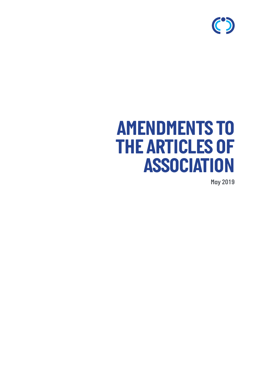

# *AMENDMENTS TO THE ARTICLES OF ASSOCIATION*

*May 2019*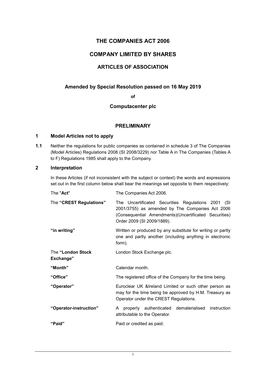# **THE COMPANIES ACT 2006**

# **COMPANY LIMITED BY SHARES**

# **ARTICLES OF ASSOCIATION**

## **Amended by Special Resolution passed on 16 May 2019**

**of**

#### **Computacenter plc**

#### **PRELIMINARY**

#### **1 Model Articles not to apply**

**1.1** Neither the regulations for public companies as contained in schedule 3 of The Companies (Model Articles) Regulations 2008 (SI 2008/3229) nor Table A in The Companies (Tables A to F) Regulations 1985 shall apply to the Company.

#### **2 Interpretation**

In these Articles (if not inconsistent with the subject or context) the words and expressions set out in the first column below shall bear the meanings set opposite to them respectively:

| The "Act"                      | The Companies Act 2006.                                                                                                                                                                       |
|--------------------------------|-----------------------------------------------------------------------------------------------------------------------------------------------------------------------------------------------|
| The "CREST Regulations"        | The Uncertificated Securities Regulations 2001 (SI<br>2001/3755) as amended by The Companies Act 2006<br>(Consequential Amendments) (Uncertificated Securities)<br>Order 2009 (SI 2009/1889). |
| "in writing"                   | Written or produced by any substitute for writing or partly<br>one and partly another (including anything in electronic<br>form).                                                             |
| The "London Stock<br>Exchange" | London Stock Exchange plc.                                                                                                                                                                    |
| "Month"                        | Calendar month.                                                                                                                                                                               |
| "Office"                       | The registered office of the Company for the time being.                                                                                                                                      |
| "Operator"                     | Euroclear UK & Ireland Limited or such other person as<br>may for the time being be approved by H.M. Treasury as<br>Operator under the CREST Regulations.                                     |
| "Operator-instruction"         | A properly authenticated dematerialised<br>instruction<br>attributable to the Operator.                                                                                                       |
| "Paid"                         | Paid or credited as paid.                                                                                                                                                                     |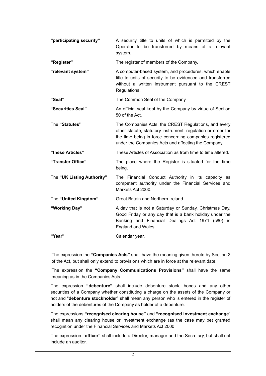| "participating security"   | A security title to units of which is permitted by the<br>Operator to be transferred by means of a relevant<br>system.                                                                                                                 |
|----------------------------|----------------------------------------------------------------------------------------------------------------------------------------------------------------------------------------------------------------------------------------|
| "Register"                 | The register of members of the Company.                                                                                                                                                                                                |
| "relevant system"          | A computer-based system, and procedures, which enable<br>title to units of security to be evidenced and transferred<br>without a written instrument pursuant to the CREST<br>Regulations.                                              |
| "Seal"                     | The Common Seal of the Company.                                                                                                                                                                                                        |
| "Securities Seal"          | An official seal kept by the Company by virtue of Section<br>50 of the Act.                                                                                                                                                            |
| The "Statutes"             | The Companies Acts, the CREST Regulations, and every<br>other statute, statutory instrument, regulation or order for<br>the time being in force concerning companies registered<br>under the Companies Acts and affecting the Company. |
| "these Articles"           | These Articles of Association as from time to time altered.                                                                                                                                                                            |
| "Transfer Office"          | The place where the Register is situated for the time<br>being.                                                                                                                                                                        |
| The "UK Listing Authority" | The Financial Conduct Authority in its capacity as<br>competent authority under the Financial Services and<br>Markets Act 2000.                                                                                                        |
| The "United Kingdom"       | Great Britain and Northern Ireland.                                                                                                                                                                                                    |
| "Working Day"              | A day that is not a Saturday or Sunday, Christmas Day,<br>Good Friday or any day that is a bank holiday under the<br>Banking and Financial Dealings Act 1971 (c80) in<br>England and Wales.                                            |
| "Year"                     | Calendar year.                                                                                                                                                                                                                         |

The expression the **"Companies Acts"** shall have the meaning given thereto by Section 2 of the Act, but shall only extend to provisions which are in force at the relevant date.

The expression the **"Company Communications Provisions"** shall have the same meaning as in the Companies Acts.

The expression **"debenture"** shall include debenture stock, bonds and any other securities of a Company whether constituting a charge on the assets of the Company or not and "**debenture stockholder**" shall mean any person who is entered in the register of holders of the debentures of the Company as holder of a debenture.

The expressions **"recognised clearing house"** and **"recognised investment exchange**" shall mean any clearing house or investment exchange (as the case may be) granted recognition under the Financial Services and Markets Act 2000.

The expression **"officer"** shall include a Director, manager and the Secretary, but shall not include an auditor.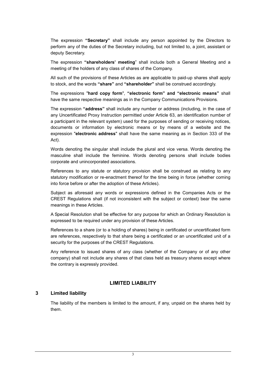The expression **"Secretary"** shall include any person appointed by the Directors to perform any of the duties of the Secretary including, but not limited to, a joint, assistant or deputy Secretary.

The expression **"shareholders' meeting**" shall include both a General Meeting and a meeting of the holders of any class of shares of the Company.

All such of the provisions of these Articles as are applicable to paid-up shares shall apply to stock, and the words **"share"** and **"shareholder"** shall be construed accordingly.

The expressions "**hard copy form**", **"electronic form" and "electronic means"** shall have the same respective meanings as in the Company Communications Provisions.

The expression **"address"** shall include any number or address (including, in the case of any Uncertificated Proxy Instruction permitted under Article 63, an identification number of a participant in the relevant system) used for the purposes of sending or receiving notices, documents or information by electronic means or by means of a website and the expression "**electronic address**" shall have the same meaning as in Section 333 of the Act).

Words denoting the singular shall include the plural and vice versa. Words denoting the masculine shall include the feminine. Words denoting persons shall include bodies corporate and unincorporated associations.

References to any statute or statutory provision shall be construed as relating to any statutory modification or re-enactment thereof for the time being in force (whether coming into force before or after the adoption of these Articles).

Subject as aforesaid any words or expressions defined in the Companies Acts or the CREST Regulations shall (if not inconsistent with the subject or context) bear the same meanings in these Articles.

A Special Resolution shall be effective for any purpose for which an Ordinary Resolution is expressed to be required under any provision of these Articles.

References to a share (or to a holding of shares) being in certificated or uncertificated form are references, respectively to that share being a certificated or an uncertificated unit of a security for the purposes of the CREST Regulations.

Any reference to issued shares of any class (whether of the Company or of any other company) shall not include any shares of that class held as treasury shares except where the contrary is expressly provided.

## **LIMITED LIABILITY**

#### **3 Limited liability**

The liability of the members is limited to the amount, if any, unpaid on the shares held by them.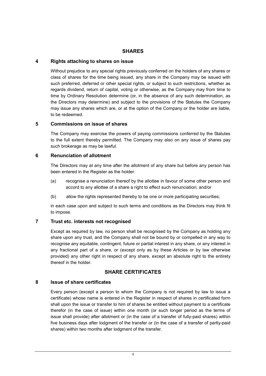#### **SHARES**

#### **4 Rights attaching to shares on issue**

Without prejudice to any special rights previously conferred on the holders of any shares or class of shares for the time being issued, any share in the Company may be issued with such preferred, deferred or other special rights, or subject to such restrictions, whether as regards dividend, return of capital, voting or otherwise, as the Company may from time to time by Ordinary Resolution determine (or, in the absence of any such determination, as the Directors may determine) and subject to the provisions of the Statutes the Company may issue any shares which are, or at the option of the Company or the holder are liable, to be redeemed.

#### **5 Commissions on issue of shares**

The Company may exercise the powers of paying commissions conferred by the Statutes to the full extent thereby permitted. The Company may also on any issue of shares pay such brokerage as may be lawful.

#### **6 Renunciation of allotment**

The Directors may at any time after the allotment of any share but before any person has been entered in the Register as the holder:

- (a) recognise a renunciation thereof by the allottee in favour of some other person and accord to any allottee of a share a right to effect such renunciation; and/or
- (b) allow the rights represented thereby to be one or more participating securities;

in each case upon and subject to such terms and conditions as the Directors may think fit to impose.

## **7 Trust etc. interests not recognised**

Except as required by law, no person shall be recognised by the Company as holding any share upon any trust, and the Company shall not be bound by or compelled in any way to recognise any equitable, contingent, future or partial interest in any share, or any interest in any fractional part of a share, or (except only as by these Articles or by law otherwise provided) any other right in respect of any share, except an absolute right to the entirety thereof in the holder.

## **SHARE CERTIFICATES**

#### **8 Issue of share certificates**

Every person (except a person to whom the Company is not required by law to issue a certificate) whose name is entered in the Register in respect of shares in certificated form shall upon the issue or transfer to him of shares be entitled without payment to a certificate therefor (in the case of issue) within one month (or such longer period as the terms of issue shall provide) after allotment or (in the case of a transfer of fully-paid shares) within five business days after lodgment of the transfer or (in the case of a transfer of partly-paid shares) within two months after lodgment of the transfer.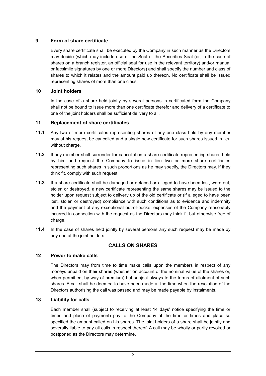# **9 Form of share certificate**

Every share certificate shall be executed by the Company in such manner as the Directors may decide (which may include use of the Seal or the Securities Seal (or, in the case of shares on a branch register, an official seal for use in the relevant territory) and/or manual or facsimile signatures by one or more Directors) and shall specify the number and class of shares to which it relates and the amount paid up thereon. No certificate shall be issued representing shares of more than one class.

#### **10 Joint holders**

In the case of a share held jointly by several persons in certificated form the Company shall not be bound to issue more than one certificate therefor and delivery of a certificate to one of the joint holders shall be sufficient delivery to all.

#### **11 Replacement of share certificates**

- **11.1** Any two or more certificates representing shares of any one class held by any member may at his request be cancelled and a single new certificate for such shares issued in lieu without charge.
- **11.2** If any member shall surrender for cancellation a share certificate representing shares held by him and request the Company to issue in lieu two or more share certificates representing such shares in such proportions as he may specify, the Directors may, if they think fit, comply with such request.
- **11.3** If a share certificate shall be damaged or defaced or alleged to have been lost, worn out, stolen or destroyed, a new certificate representing the same shares may be issued to the holder upon request subject to delivery up of the old certificate or (if alleged to have been lost, stolen or destroyed) compliance with such conditions as to evidence and indemnity and the payment of any exceptional out-of-pocket expenses of the Company reasonably incurred in connection with the request as the Directors may think fit but otherwise free of charge.
- **11.4** In the case of shares held jointly by several persons any such request may be made by any one of the joint holders.

# **CALLS ON SHARES**

#### **12 Power to make calls**

The Directors may from time to time make calls upon the members in respect of any moneys unpaid on their shares (whether on account of the nominal value of the shares or, when permitted, by way of premium) but subject always to the terms of allotment of such shares. A call shall be deemed to have been made at the time when the resolution of the Directors authorising the call was passed and may be made payable by instalments.

## **13 Liability for calls**

Each member shall (subject to receiving at least 14 days' notice specifying the time or times and place of payment) pay to the Company at the time or times and place so specified the amount called on his shares. The joint holders of a share shall be jointly and severally liable to pay all calls in respect thereof. A call may be wholly or partly revoked or postponed as the Directors may determine.

5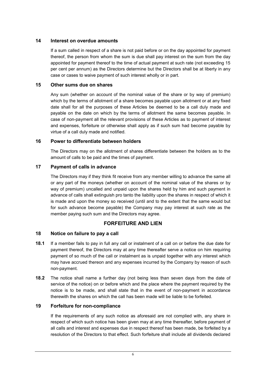## **14 Interest on overdue amounts**

If a sum called in respect of a share is not paid before or on the day appointed for payment thereof, the person from whom the sum is due shall pay interest on the sum from the day appointed for payment thereof to the time of actual payment at such rate (not exceeding 15 per cent per annum) as the Directors determine but the Directors shall be at liberty in any case or cases to waive payment of such interest wholly or in part.

#### **15 Other sums due on shares**

Any sum (whether on account of the nominal value of the share or by way of premium) which by the terms of allotment of a share becomes payable upon allotment or at any fixed date shall for all the purposes of these Articles be deemed to be a call duly made and payable on the date on which by the terms of allotment the same becomes payable. In case of non-payment all the relevant provisions of these Articles as to payment of interest and expenses, forfeiture or otherwise shall apply as if such sum had become payable by virtue of a call duly made and notified.

## **16 Power to differentiate between holders**

The Directors may on the allotment of shares differentiate between the holders as to the amount of calls to be paid and the times of payment.

## **17 Payment of calls in advance**

The Directors may if they think fit receive from any member willing to advance the same all or any part of the moneys (whether on account of the nominal value of the shares or by way of premium) uncalled and unpaid upon the shares held by him and such payment in advance of calls shall extinguish pro tanto the liability upon the shares in respect of which it is made and upon the money so received (until and to the extent that the same would but for such advance become payable) the Company may pay interest at such rate as the member paying such sum and the Directors may agree.

## **FORFEITURE AND LIEN**

## **18 Notice on failure to pay a call**

- **18.1** If a member fails to pay in full any call or instalment of a call on or before the due date for payment thereof, the Directors may at any time thereafter serve a notice on him requiring payment of so much of the call or instalment as is unpaid together with any interest which may have accrued thereon and any expenses incurred by the Company by reason of such non-payment.
- **18.2** The notice shall name a further day (not being less than seven days from the date of service of the notice) on or before which and the place where the payment required by the notice is to be made, and shall state that in the event of non-payment in accordance therewith the shares on which the call has been made will be liable to be forfeited.

## **19 Forfeiture for non-compliance**

If the requirements of any such notice as aforesaid are not complied with, any share in respect of which such notice has been given may at any time thereafter, before payment of all calls and interest and expenses due in respect thereof has been made, be forfeited by a resolution of the Directors to that effect. Such forfeiture shall include all dividends declared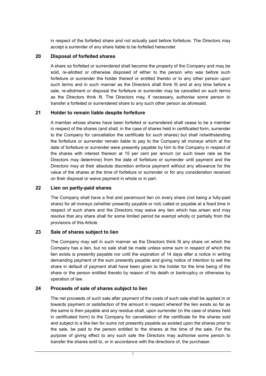in respect of the forfeited share and not actually paid before forfeiture. The Directors may accept a surrender of any share liable to be forfeited hereunder.

#### **20 Disposal of forfeited shares**

A share so forfeited or surrendered shall become the property of the Company and may be sold, re-allotted or otherwise disposed of either to the person who was before such forfeiture or surrender the holder thereof or entitled thereto or to any other person upon such terms and in such manner as the Directors shall think fit and at any time before a sale, re-allotment or disposal the forfeiture or surrender may be cancelled on such terms as the Directors think fit. The Directors may, if necessary, authorise some person to transfer a forfeited or surrendered share to any such other person as aforesaid.

#### **21 Holder to remain liable despite forfeiture**

A member whose shares have been forfeited or surrendered shall cease to be a member in respect of the shares (and shall, in the case of shares held in certificated form, surrender to the Company for cancellation the certificate for such shares) but shall notwithstanding the forfeiture or surrender remain liable to pay to the Company all moneys which at the date of forfeiture or surrender were presently payable by him to the Company in respect of the shares with interest thereon at 15 per cent per annum (or such lower rate as the Directors may determine) from the date of forfeiture or surrender until payment and the Directors may at their absolute discretion enforce payment without any allowance for the value of the shares at the time of forfeiture or surrender or for any consideration received on their disposal or waive payment in whole or in part.

#### **22 Lien on partly-paid shares**

The Company shall have a first and paramount lien on every share (not being a fully-paid share) for all moneys (whether presently payable or not) called or payable at a fixed time in respect of such share and the Directors may waive any lien which has arisen and may resolve that any share shall for some limited period be exempt wholly or partially from the provisions of this Article.

#### **23 Sale of shares subject to lien**

The Company may sell in such manner as the Directors think fit any share on which the Company has a lien, but no sale shall be made unless some sum in respect of which the lien exists is presently payable nor until the expiration of 14 days after a notice in writing demanding payment of the sum presently payable and giving notice of intention to sell the share in default of payment shall have been given to the holder for the time being of the share or the person entitled thereto by reason of his death or bankruptcy or otherwise by operation of law.

## **24 Proceeds of sale of shares subject to lien**

The net proceeds of such sale after payment of the costs of such sale shall be applied in or towards payment or satisfaction of the amount in respect whereof the lien exists so far as the same is then payable and any residue shall, upon surrender (in the case of shares held in certificated form) to the Company for cancellation of the certificate for the shares sold and subject to a like lien for sums not presently payable as existed upon the shares prior to the sale, be paid to the person entitled to the shares at the time of the sale. For the purpose of giving effect to any such sale the Directors may authorise some person to transfer the shares sold to, or in accordance with the directions of, the purchaser.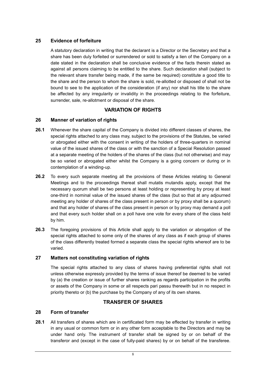# **25 Evidence of forfeiture**

A statutory declaration in writing that the declarant is a Director or the Secretary and that a share has been duly forfeited or surrendered or sold to satisfy a lien of the Company on a date stated in the declaration shall be conclusive evidence of the facts therein stated as against all persons claiming to be entitled to the share. Such declaration shall (subject to the relevant share transfer being made, if the same be required) constitute a good title to the share and the person to whom the share is sold, re-allotted or disposed of shall not be bound to see to the application of the consideration (if any) nor shall his title to the share be affected by any irregularity or invalidity in the proceedings relating to the forfeiture, surrender, sale, re-allotment or disposal of the share.

# **VARIATION OF RIGHTS**

# **26 Manner of variation of rights**

- **26.1** Whenever the share capital of the Company is divided into different classes of shares, the special rights attached to any class may, subject to the provisions of the Statutes, be varied or abrogated either with the consent in writing of the holders of three-quarters in nominal value of the issued shares of the class or with the sanction of a Special Resolution passed at a separate meeting of the holders of the shares of the class (but not otherwise) and may be so varied or abrogated either whilst the Company is a going concern or during or in contemplation of a winding-up.
- **26.2** To every such separate meeting all the provisions of these Articles relating to General Meetings and to the proceedings thereat shall mutatis mutandis apply, except that the necessary quorum shall be two persons at least holding or representing by proxy at least one-third in nominal value of the issued shares of the class (but so that at any adjourned meeting any holder of shares of the class present in person or by proxy shall be a quorum) and that any holder of shares of the class present in person or by proxy may demand a poll and that every such holder shall on a poll have one vote for every share of the class held by him.
- **26.3** The foregoing provisions of this Article shall apply to the variation or abrogation of the special rights attached to some only of the shares of any class as if each group of shares of the class differently treated formed a separate class the special rights whereof are to be varied.

## **27 Matters not constituting variation of rights**

The special rights attached to any class of shares having preferential rights shall not unless otherwise expressly provided by the terms of issue thereof be deemed to be varied by (a) the creation or issue of further shares ranking as regards participation in the profits or assets of the Company in some or all respects pari passu therewith but in no respect in priority thereto or (b) the purchase by the Company of any of its own shares.

# **TRANSFER OF SHARES**

## **28 Form of transfer**

**28.1** All transfers of shares which are in certificated form may be effected by transfer in writing in any usual or common form or in any other form acceptable to the Directors and may be under hand only. The instrument of transfer shall be signed by or on behalf of the transferor and (except in the case of fully-paid shares) by or on behalf of the transferee.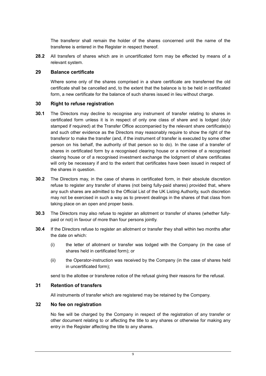The transferor shall remain the holder of the shares concerned until the name of the transferee is entered in the Register in respect thereof.

**28.2** All transfers of shares which are in uncertificated form may be effected by means of a relevant system.

#### **29 Balance certificate**

Where some only of the shares comprised in a share certificate are transferred the old certificate shall be cancelled and, to the extent that the balance is to be held in certificated form, a new certificate for the balance of such shares issued in lieu without charge.

#### **30 Right to refuse registration**

- **30.1** The Directors may decline to recognise any instrument of transfer relating to shares in certificated form unless it is in respect of only one class of share and is lodged (duly stamped if required) at the Transfer Office accompanied by the relevant share certificate(s) and such other evidence as the Directors may reasonably require to show the right of the transferor to make the transfer (and, if the instrument of transfer is executed by some other person on his behalf, the authority of that person so to do). In the case of a transfer of shares in certificated form by a recognised clearing house or a nominee of a recognised clearing house or of a recognised investment exchange the lodgment of share certificates will only be necessary if and to the extent that certificates have been issued in respect of the shares in question.
- **30.2** The Directors may, in the case of shares in certificated form, in their absolute discretion refuse to register any transfer of shares (not being fully-paid shares) provided that, where any such shares are admitted to the Official List of the UK Listing Authority, such discretion may not be exercised in such a way as to prevent dealings in the shares of that class from taking place on an open and proper basis.
- **30.3** The Directors may also refuse to register an allotment or transfer of shares (whether fullypaid or not) in favour of more than four persons jointly.
- **30.4** If the Directors refuse to register an allotment or transfer they shall within two months after the date on which:
	- (i) the letter of allotment or transfer was lodged with the Company (in the case of shares held in certificated form); or
	- (ii) the Operator-instruction was received by the Company (in the case of shares held in uncertificated form);

send to the allottee or transferee notice of the refusal giving their reasons for the refusal.

#### **31 Retention of transfers**

All instruments of transfer which are registered may be retained by the Company.

#### **32 No fee on registration**

No fee will be charged by the Company in respect of the registration of any transfer or other document relating to or affecting the title to any shares or otherwise for making any entry in the Register affecting the title to any shares.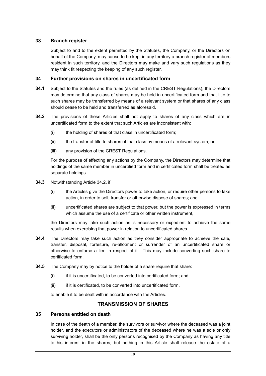## **33 Branch register**

Subject to and to the extent permitted by the Statutes, the Company, or the Directors on behalf of the Company, may cause to be kept in any territory a branch register of members resident in such territory, and the Directors may make and vary such regulations as they may think fit respecting the keeping of any such register.

#### **34 Further provisions on shares in uncertificated form**

- **34.1** Subject to the Statutes and the rules (as defined in the CREST Regulations), the Directors may determine that any class of shares may be held in uncertificated form and that title to such shares may be transferred by means of a relevant system or that shares of any class should cease to be held and transferred as aforesaid.
- **34.2** The provisions of these Articles shall not apply to shares of any class which are in uncertificated form to the extent that such Articles are inconsistent with:
	- (i) the holding of shares of that class in uncertificated form;
	- (ii) the transfer of title to shares of that class by means of a relevant system; or
	- (iii) any provision of the CREST Regulations.

For the purpose of effecting any actions by the Company, the Directors may determine that holdings of the same member in uncertified form and in certificated form shall be treated as separate holdings.

- **34.3** Notwithstanding Article 34.2, if
	- (i) the Articles give the Directors power to take action, or require other persons to take action, in order to sell, transfer or otherwise dispose of shares; and
	- (ii) uncertificated shares are subject to that power, but the power is expressed in terms which assume the use of a certificate or other written instrument.

the Directors may take such action as is necessary or expedient to achieve the same results when exercising that power in relation to uncertificated shares.

- **34.4** The Directors may take such action as they consider appropriate to achieve the sale, transfer, disposal, forfeiture, re-allotment or surrender of an uncertificated share or otherwise to enforce a lien in respect of it. This may include converting such share to certificated form.
- **34.5** The Company may by notice to the holder of a share require that share:
	- (i) if it is uncertificated, to be converted into certificated form; and
	- (ii) if it is certificated, to be converted into uncertificated form,

to enable it to be dealt with in accordance with the Articles.

# **TRANSMISSION OF SHARES**

## **35 Persons entitled on death**

In case of the death of a member, the survivors or survivor where the deceased was a joint holder, and the executors or administrators of the deceased where he was a sole or only surviving holder, shall be the only persons recognised by the Company as having any title to his interest in the shares, but nothing in this Article shall release the estate of a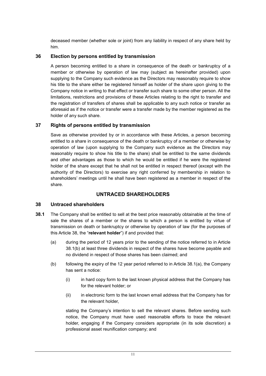deceased member (whether sole or joint) from any liability in respect of any share held by him.

# **36 Election by persons entitled by transmission**

A person becoming entitled to a share in consequence of the death or bankruptcy of a member or otherwise by operation of law may (subject as hereinafter provided) upon supplying to the Company such evidence as the Directors may reasonably require to show his title to the share either be registered himself as holder of the share upon giving to the Company notice in writing to that effect or transfer such share to some other person. All the limitations, restrictions and provisions of these Articles relating to the right to transfer and the registration of transfers of shares shall be applicable to any such notice or transfer as aforesaid as if the notice or transfer were a transfer made by the member registered as the holder of any such share.

# **37 Rights of persons entitled by transmission**

Save as otherwise provided by or in accordance with these Articles, a person becoming entitled to a share in consequence of the death or bankruptcy of a member or otherwise by operation of law (upon supplying to the Company such evidence as the Directors may reasonably require to show his title to the share) shall be entitled to the same dividends and other advantages as those to which he would be entitled if he were the registered holder of the share except that he shall not be entitled in respect thereof (except with the authority of the Directors) to exercise any right conferred by membership in relation to shareholders' meetings until he shall have been registered as a member in respect of the share.

# **UNTRACED SHAREHOLDERS**

## **38 Untraced shareholders**

- **38.1** The Company shall be entitled to sell at the best price reasonably obtainable at the time of sale the shares of a member or the shares to which a person is entitled by virtue of transmission on death or bankruptcy or otherwise by operation of law (for the purposes of this Article 38, the "**relevant holder**") if and provided that:
	- (a) during the period of 12 years prior to the sending of the notice referred to in Article 38.1(b) at least three dividends in respect of the shares have become payable and no dividend in respect of those shares has been claimed; and
	- (b) following the expiry of the 12 year period referred to in Article 38.1(a), the Company has sent a notice:
		- (i) in hard copy form to the last known physical address that the Company has for the relevant holder; or
		- (ii) in electronic form to the last known email address that the Company has for the relevant holder,

stating the Company's intention to sell the relevant shares. Before sending such notice, the Company must have used reasonable efforts to trace the relevant holder, engaging if the Company considers appropriate (in its sole discretion) a professional asset reunification company; and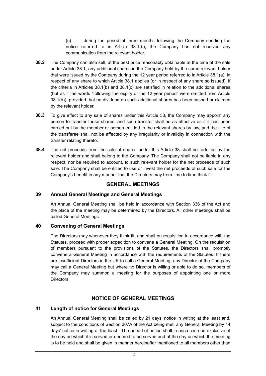(c) during the period of three months following the Company sending the notice referred to in Article 38.1(b), the Company has not received any communication from the relevant holder.

- **38.2** The Company can also sell, at the best price reasonably obtainable at the time of the sale under Article 38.1, any additional shares in the Company held by the same relevant holder that were issued by the Company during the 12 year period referred to in Article 38.1(a), in respect of any share to which Article 38.1 applies (or in respect of any share so issued), if the criteria in Articles 38.1(b) and 38.1(c) are satisfied in relation to the additional shares (but as if the words "following the expiry of the 12 year period" were omitted from Article 38.1(b)), provided that no dividend on such additional shares has been cashed or claimed by the relevant holder.
- **38.3** To give effect to any sale of shares under this Article 38, the Company may appoint any person to transfer those shares, and such transfer shall be as effective as if it had been carried out by the member or person entitled to the relevant shares by law, and the title of the transferee shall not be affected by any irregularity or invalidity in connection with the transfer relating thereto.
- **38.4** The net proceeds from the sale of shares under this Article 38 shall be forfeited by the relevant holder and shall belong to the Company. The Company shall not be liable in any respect, nor be required to account, to such relevant holder for the net proceeds of such sale. The Company shall be entitled to use or invest the net proceeds of such sale for the Company's benefit in any manner that the Directors may from time to time think fit.

## **GENERAL MEETINGS**

## **39 Annual General Meetings and General Meetings**

An Annual General Meeting shall be held in accordance with Section 336 of the Act and the place of the meeting may be determined by the Directors. All other meetings shall be called General Meetings.

#### **40 Convening of General Meetings**

The Directors may whenever they think fit, and shall on requisition in accordance with the Statutes, proceed with proper expedition to convene a General Meeting. On the requisition of members pursuant to the provisions of the Statutes, the Directors shall promptly convene a General Meeting in accordance with the requirements of the Statutes. If there are insufficient Directors in the UK to call a General Meeting, any Director of the Company may call a General Meeting but where no Director is willing or able to do so, members of the Company may summon a meeting for the purposes of appointing one or more Directors.

## **NOTICE OF GENERAL MEETINGS**

## **41 Length of notice for General Meetings**

An Annual General Meeting shall be called by 21 days' notice in writing at the least and, subject to the conditions of Section 307A of the Act being met, any General Meeting by 14 days' notice in writing at the least. The period of notice shall in each case be exclusive of the day on which it is served or deemed to be served and of the day on which the meeting is to be held and shall be given in manner hereinafter mentioned to all members other than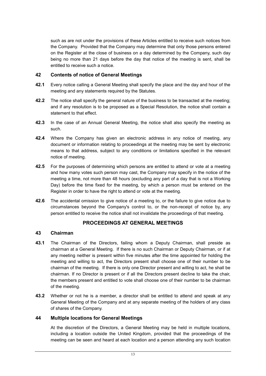such as are not under the provisions of these Articles entitled to receive such notices from the Company. Provided that the Company may determine that only those persons entered on the Register at the close of business on a day determined by the Company, such day being no more than 21 days before the day that notice of the meeting is sent, shall be entitled to receive such a notice.

## **42 Contents of notice of General Meetings**

- **42.1** Every notice calling a General Meeting shall specify the place and the day and hour of the meeting and any statements required by the Statutes.
- **42.2** The notice shall specify the general nature of the business to be transacted at the meeting; and if any resolution is to be proposed as a Special Resolution, the notice shall contain a statement to that effect.
- **42.3** In the case of an Annual General Meeting, the notice shall also specify the meeting as such.
- **42.4** Where the Company has given an electronic address in any notice of meeting, any document or information relating to proceedings at the meeting may be sent by electronic means to that address, subject to any conditions or limitations specified in the relevant notice of meeting.
- **42.5** For the purposes of determining which persons are entitled to attend or vote at a meeting and how many votes such person may cast, the Company may specify in the notice of the meeting a time, not more than 48 hours (excluding any part of a day that is not a Working Day) before the time fixed for the meeting, by which a person must be entered on the Register in order to have the right to attend or vote at the meeting.
- **42.6** The accidental omission to give notice of a meeting to, or the failure to give notice due to circumstances beyond the Company's control to, or the non-receipt of notice by, any person entitled to receive the notice shall not invalidate the proceedings of that meeting.

# **PROCEEDINGS AT GENERAL MEETINGS**

#### **43 Chairman**

- **43.1** The Chairman of the Directors, failing whom a Deputy Chairman, shall preside as chairman at a General Meeting. If there is no such Chairman or Deputy Chairman, or if at any meeting neither is present within five minutes after the time appointed for holding the meeting and willing to act, the Directors present shall choose one of their number to be chairman of the meeting. If there is only one Director present and willing to act, he shall be chairman. If no Director is present or if all the Directors present decline to take the chair, the members present and entitled to vote shall choose one of their number to be chairman of the meeting.
- **43.2** Whether or not he is a member, a director shall be entitled to attend and speak at any General Meeting of the Company and at any separate meeting of the holders of any class of shares of the Company.

## **44 Multiple locations for General Meetings**

At the discretion of the Directors, a General Meeting may be held in multiple locations, including a location outside the United Kingdom, provided that the proceedings of the meeting can be seen and heard at each location and a person attending any such location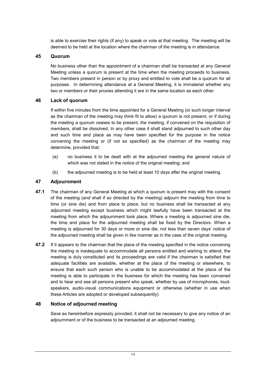is able to exercise their rights (if any) to speak or vote at that meeting. The meeting will be deemed to be held at the location where the chairman of the meeting is in attendance.

## **45 Quorum**

No business other than the appointment of a chairman shall be transacted at any General Meeting unless a quorum is present at the time when the meeting proceeds to business. Two members present in person or by proxy and entitled to vote shall be a quorum for all purposes. In determining attendance at a General Meeting, it is immaterial whether any two or members or their proxies attending it are in the same location as each other.

# **46 Lack of quorum**

If within five minutes from the time appointed for a General Meeting (or such longer interval as the chairman of the meeting may think fit to allow) a quorum is not present, or if during the meeting a quorum ceases to be present, the meeting, if convened on the requisition of members, shall be dissolved. In any other case it shall stand adjourned to such other day and such time and place as may have been specified for the purpose in the notice convening the meeting or (if not so specified) as the chairman of the meeting may determine, provided that:

- (a) no business it to be dealt with at the adjourned meeting the general nature of which was not stated in the notice of the original meeting; and
- (b) the adjourned meeting is to be held at least 10 days after the original meeting.

# **47 Adjournment**

- **47.1** The chairman of any General Meeting at which a quorum is present may with the consent of the meeting (and shall if so directed by the meeting) adjourn the meeting from time to time (or sine die) and from place to place, but no business shall be transacted at any adjourned meeting except business which might lawfully have been transacted at the meeting from which the adjournment took place. Where a meeting is adjourned sine die, the time and place for the adjourned meeting shall be fixed by the Directors. When a meeting is adjourned for 30 days or more or sine die, not less than seven days' notice of the adjourned meeting shall be given in like manner as in the case of the original meeting.
- **47.2** If it appears to the chairman that the place of the meeting specified in the notice convening the meeting is inadequate to accommodate all persons entitled and wishing to attend, the meeting is duly constituted and its proceedings are valid if the chairman is satisfied that adequate facilities are available, whether at the place of the meeting or elsewhere, to ensure that each such person who is unable to be accommodated at the place of the meeting is able to participate in the business for which the meeting has been convened and to hear and see all persons present who speak, whether by use of microphones, loudspeakers, audio-visual communications equipment or otherwise (whether in use when these Articles are adopted or developed subsequently).

# **48 Notice of adjourned meeting**

Save as hereinbefore expressly provided, it shall not be necessary to give any notice of an adjournment or of the business to be transacted at an adjourned meeting.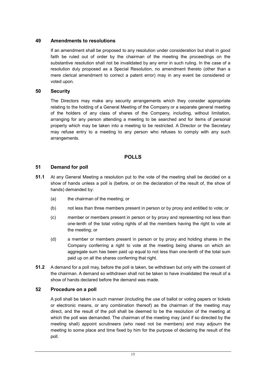## **49 Amendments to resolutions**

If an amendment shall be proposed to any resolution under consideration but shall in good faith be ruled out of order by the chairman of the meeting the proceedings on the substantive resolution shall not be invalidated by any error in such ruling. In the case of a resolution duly proposed as a Special Resolution, no amendment thereto (other than a mere clerical amendment to correct a patent error) may in any event be considered or voted upon.

#### **50 Security**

The Directors may make any security arrangements which they consider appropriate relating to the holding of a General Meeting of the Company or a separate general meeting of the holders of any class of shares of the Company, including, without limitation, arranging for any person attending a meeting to be searched and for items of personal property which may be taken into a meeting to be restricted. A Director or the Secretary may refuse entry to a meeting to any person who refuses to comply with any such arrangements.

## **POLLS**

## **51 Demand for poll**

- **51.1** At any General Meeting a resolution put to the vote of the meeting shall be decided on a show of hands unless a poll is (before, or on the declaration of the result of, the show of hands) demanded by:
	- (a) the chairman of the meeting; or
	- (b) not less than three members present in person or by proxy and entitled to vote; or
	- (c) member or members present in person or by proxy and representing not less than one-tenth of the total voting rights of all the members having the right to vote at the meeting; or
	- (d) a member or members present in person or by proxy and holding shares in the Company conferring a right to vote at the meeting being shares on which an aggregate sum has been paid up equal to not less than one-tenth of the total sum paid up on all the shares conferring that right.
- **51.2** A demand for a poll may, before the poll is taken, be withdrawn but only with the consent of the chairman. A demand so withdrawn shall not be taken to have invalidated the result of a show of hands declared before the demand was made.

#### **52 Procedure on a poll**

A poll shall be taken in such manner (including the use of ballot or voting papers or tickets or electronic means, or any combination thereof) as the chairman of the meeting may direct, and the result of the poll shall be deemed to be the resolution of the meeting at which the poll was demanded. The chairman of the meeting may (and if so directed by the meeting shall) appoint scrutineers (who need not be members) and may adjourn the meeting to some place and time fixed by him for the purpose of declaring the result of the poll.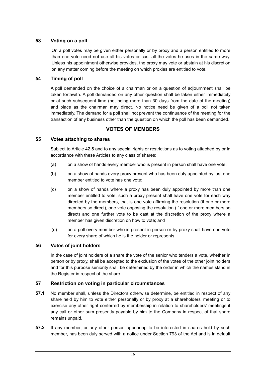# **53 Voting on a poll**

On a poll votes may be given either personally or by proxy and a person entitled to more than one vote need not use all his votes or cast all the votes he uses in the same way. Unless his appointment otherwise provides, the proxy may vote or abstain at his discretion on any matter coming before the meeting on which proxies are entitled to vote.

#### **54 Timing of poll**

A poll demanded on the choice of a chairman or on a question of adjournment shall be taken forthwith. A poll demanded on any other question shall be taken either immediately or at such subsequent time (not being more than 30 days from the date of the meeting) and place as the chairman may direct. No notice need be given of a poll not taken immediately. The demand for a poll shall not prevent the continuance of the meeting for the transaction of any business other than the question on which the poll has been demanded.

## **VOTES OF MEMBERS**

#### **55 Votes attaching to shares**

Subject to Article 42.5 and to any special rights or restrictions as to voting attached by or in accordance with these Articles to any class of shares:

- (a) on a show of hands every member who is present in person shall have one vote;
- (b) on a show of hands every proxy present who has been duly appointed by just one member entitled to vote has one vote;
- (c) on a show of hands where a proxy has been duly appointed by more than one member entitled to vote, such a proxy present shall have one vote for each way directed by the members, that is one vote affirming the resolution (if one or more members so direct), one vote opposing the resolution (if one or more members so direct) and one further vote to be cast at the discretion of the proxy where a member has given discretion on how to vote; and
- (d) on a poll every member who is present in person or by proxy shall have one vote for every share of which he is the holder or represents.

## **56 Votes of joint holders**

In the case of joint holders of a share the vote of the senior who tenders a vote, whether in person or by proxy, shall be accepted to the exclusion of the votes of the other joint holders and for this purpose seniority shall be determined by the order in which the names stand in the Register in respect of the share.

#### **57 Restriction on voting in particular circumstances**

- **57.1** No member shall, unless the Directors otherwise determine, be entitled in respect of any share held by him to vote either personally or by proxy at a shareholders' meeting or to exercise any other right conferred by membership in relation to shareholders' meetings if any call or other sum presently payable by him to the Company in respect of that share remains unpaid.
- **57.2** If any member, or any other person appearing to be interested in shares held by such member, has been duly served with a notice under Section 793 of the Act and is in default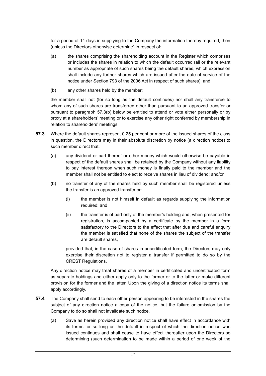for a period of 14 days in supplying to the Company the information thereby required, then (unless the Directors otherwise determine) in respect of:

- (a) the shares comprising the shareholding account in the Register which comprises or includes the shares in relation to which the default occurred (all or the relevant number as appropriate of such shares being the default shares, which expression shall include any further shares which are issued after the date of service of the notice under Section 793 of the 2006 Act in respect of such shares); and
- (b) any other shares held by the member;

the member shall not (for so long as the default continues) nor shall any transferee to whom any of such shares are transferred other than pursuant to an approved transfer or pursuant to paragraph 57.3(b) below be entitled to attend or vote either personally or by proxy at a shareholders' meeting or to exercise any other right conferred by membership in relation to shareholders' meetings.

- **57.3** Where the default shares represent 0.25 per cent or more of the issued shares of the class in question, the Directors may in their absolute discretion by notice (a direction notice) to such member direct that:
	- (a) any dividend or part thereof or other money which would otherwise be payable in respect of the default shares shall be retained by the Company without any liability to pay interest thereon when such money is finally paid to the member and the member shall not be entitled to elect to receive shares in lieu of dividend; and/or
	- (b) no transfer of any of the shares held by such member shall be registered unless the transfer is an approved transfer or:
		- (i) the member is not himself in default as regards supplying the information required; and
		- (ii) the transfer is of part only of the member's holding and, when presented for registration, is accompanied by a certificate by the member in a form satisfactory to the Directors to the effect that after due and careful enquiry the member is satisfied that none of the shares the subject of the transfer are default shares,

provided that, in the case of shares in uncertificated form, the Directors may only exercise their discretion not to register a transfer if permitted to do so by the CREST Regulations.

Any direction notice may treat shares of a member in certificated and uncertificated form as separate holdings and either apply only to the former or to the latter or make different provision for the former and the latter. Upon the giving of a direction notice its terms shall apply accordingly.

- **57.4** The Company shall send to each other person appearing to be interested in the shares the subject of any direction notice a copy of the notice, but the failure or omission by the Company to do so shall not invalidate such notice.
	- (a) Save as herein provided any direction notice shall have effect in accordance with its terms for so long as the default in respect of which the direction notice was issued continues and shall cease to have effect thereafter upon the Directors so determining (such determination to be made within a period of one week of the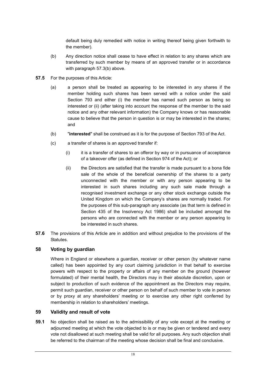default being duly remedied with notice in writing thereof being given forthwith to the member).

- (b) Any direction notice shall cease to have effect in relation to any shares which are transferred by such member by means of an approved transfer or in accordance with paragraph 57.3(b) above.
- **57.5** For the purposes of this Article:
	- (a) a person shall be treated as appearing to be interested in any shares if the member holding such shares has been served with a notice under the said Section 793 and either (i) the member has named such person as being so interested or (ii) (after taking into account the response of the member to the said notice and any other relevant information) the Company knows or has reasonable cause to believe that the person in question is or may be interested in the shares; and
	- (b) "**interested**" shall be construed as it is for the purpose of Section 793 of the Act.
	- (c) a transfer of shares is an approved transfer if:
		- $(i)$  it is a transfer of shares to an offeror by way or in pursuance of acceptance of a takeover offer (as defined in Section 974 of the Act); or
		- (ii) the Directors are satisfied that the transfer is made pursuant to a bona fide sale of the whole of the beneficial ownership of the shares to a party unconnected with the member or with any person appearing to be interested in such shares including any such sale made through a recognised investment exchange or any other stock exchange outside the United Kingdom on which the Company's shares are normally traded. For the purposes of this sub-paragraph any associate (as that term is defined in Section 435 of the Insolvency Act 1986) shall be included amongst the persons who are connected with the member or any person appearing to be interested in such shares.
- **57.6** The provisions of this Article are in addition and without prejudice to the provisions of the Statutes.

## **58 Voting by guardian**

Where in England or elsewhere a guardian, receiver or other person (by whatever name called) has been appointed by any court claiming jurisdiction in that behalf to exercise powers with respect to the property or affairs of any member on the ground (however formulated) of their mental health, the Directors may in their absolute discretion, upon or subject to production of such evidence of the appointment as the Directors may require, permit such guardian, receiver or other person on behalf of such member to vote in person or by proxy at any shareholders' meeting or to exercise any other right conferred by membership in relation to shareholders' meetings.

# **59 Validity and result of vote**

**59.1** No objection shall be raised as to the admissibility of any vote except at the meeting or adjourned meeting at which the vote objected to is or may be given or tendered and every vote not disallowed at such meeting shall be valid for all purposes. Any such objection shall be referred to the chairman of the meeting whose decision shall be final and conclusive.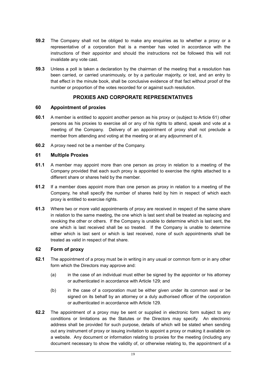- **59.2** The Company shall not be obliged to make any enquiries as to whether a proxy or a representative of a corporation that is a member has voted in accordance with the instructions of their appointor and should the instructions not be followed this will not invalidate any vote cast.
- **59.3** Unless a poll is taken a declaration by the chairman of the meeting that a resolution has been carried, or carried unanimously, or by a particular majority, or lost, and an entry to that effect in the minute book, shall be conclusive evidence of that fact without proof of the number or proportion of the votes recorded for or against such resolution.

# **PROXIES AND CORPORATE REPRESENTATIVES**

#### **60 Appointment of proxies**

- **60.1** A member is entitled to appoint another person as his proxy or (subject to Article 61) other persons as his proxies to exercise all or any of his rights to attend, speak and vote at a meeting of the Company. Delivery of an appointment of proxy shall not preclude a member from attending and voting at the meeting or at any adjournment of it.
- **60.2** A proxy need not be a member of the Company.

#### **61 Multiple Proxies**

- **61.1** A member may appoint more than one person as proxy in relation to a meeting of the Company provided that each such proxy is appointed to exercise the rights attached to a different share or shares held by the member.
- **61.2** If a member does appoint more than one person as proxy in relation to a meeting of the Company, he shall specify the number of shares held by him in respect of which each proxy is entitled to exercise rights.
- **61.3** Where two or more valid appointments of proxy are received in respect of the same share in relation to the same meeting, the one which is last sent shall be treated as replacing and revoking the other or others. If the Company is unable to determine which is last sent, the one which is last received shall be so treated. If the Company is unable to determine either which is last sent or which is last received, none of such appointments shall be treated as valid in respect of that share.

## **62 Form of proxy**

- **62.1** The appointment of a proxy must be in writing in any usual or common form or in any other form which the Directors may approve and:
	- (a) in the case of an individual must either be signed by the appointor or his attorney or authenticated in accordance with Article 129; and
	- (b) in the case of a corporation must be either given under its common seal or be signed on its behalf by an attorney or a duly authorised officer of the corporation or authenticated in accordance with Article 129.
- **62.2** The appointment of a proxy may be sent or supplied in electronic form subject to any conditions or limitations as the Statutes or the Directors may specify. An electronic address shall be provided for such purpose, details of which will be stated when sending out any instrument of proxy or issuing invitation to appoint a proxy or making it available on a website. Any document or information relating to proxies for the meeting (including any document necessary to show the validity of, or otherwise relating to, the appointment of a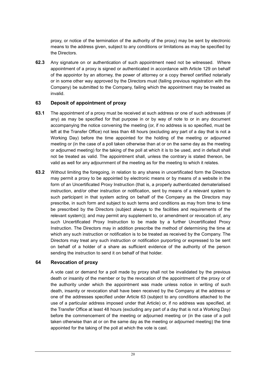proxy, or notice of the termination of the authority of the proxy) may be sent by electronic means to the address given, subject to any conditions or limitations as may be specified by the Directors.

**62.3** Any signature on or authentication of such appointment need not be witnessed. Where appointment of a proxy is signed or authenticated in accordance with Article 129 on behalf of the appointor by an attorney, the power of attorney or a copy thereof certified notarially or in some other way approved by the Directors must (failing previous registration with the Company) be submitted to the Company, failing which the appointment may be treated as invalid.

## **63 Deposit of appointment of proxy**

- **63.1** The appointment of a proxy must be received at such address or one of such addresses (if any) as may be specified for that purpose in or by way of note to or in any document accompanying the notice convening the meeting (or, if no address is so specified, must be left at the Transfer Office) not less than 48 hours (excluding any part of a day that is not a Working Day) before the time appointed for the holding of the meeting or adjourned meeting or (in the case of a poll taken otherwise than at or on the same day as the meeting or adjourned meeting) for the taking of the poll at which it is to be used, and in default shall not be treated as valid. The appointment shall, unless the contrary is stated thereon, be valid as well for any adjournment of the meeting as for the meeting to which it relates.
- **63.2** Without limiting the foregoing, in relation to any shares in uncertificated form the Directors may permit a proxy to be appointed by electronic means or by means of a website in the form of an Uncertificated Proxy Instruction (that is, a properly authenticated dematerialised instruction, and/or other instruction or notification, sent by means of a relevant system to such participant in that system acting on behalf of the Company as the Directors may prescribe, in such form and subject to such terms and conditions as may from time to time be prescribed by the Directors (subject always to the facilities and requirements of the relevant system)); and may permit any supplement to, or amendment or revocation of, any such Uncertificated Proxy Instruction to be made by a further Uncertificated Proxy Instruction. The Directors may in addition prescribe the method of determining the time at which any such instruction or notification is to be treated as received by the Company. The Directors may treat any such instruction or notification purporting or expressed to be sent on behalf of a holder of a share as sufficient evidence of the authority of the person sending the instruction to send it on behalf of that holder.

#### **64 Revocation of proxy**

A vote cast or demand for a poll made by proxy shall not be invalidated by the previous death or insanity of the member or by the revocation of the appointment of the proxy or of the authority under which the appointment was made unless notice in writing of such death, insanity or revocation shall have been received by the Company at the address or one of the addresses specified under Article 63 (subject to any conditions attached to the use of a particular address imposed under that Article) or, if no address was specified, at the Transfer Office at least 48 hours (excluding any part of a day that is not a Working Day) before the commencement of the meeting or adjourned meeting or (in the case of a poll taken otherwise than at or on the same day as the meeting or adjourned meeting) the time appointed for the taking of the poll at which the vote is cast.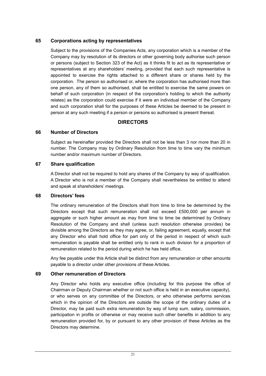# **65 Corporations acting by representatives**

Subject to the provisions of the Companies Acts, any corporation which is a member of the Company may by resolution of its directors or other governing body authorise such person or persons (subject to Section 323 of the Act) as it thinks fit to act as its representative or representatives at any shareholders' meeting, provided that each such representative is appointed to exercise the rights attached to a different share or shares held by the corporation. The person so authorised or, where the corporation has authorised more than one person, any of them so authorised, shall be entitled to exercise the same powers on behalf of such corporation (in respect of the corporation's holding to which the authority relates) as the corporation could exercise if it were an individual member of the Company and such corporation shall for the purposes of these Articles be deemed to be present in person at any such meeting if a person or persons so authorised is present thereat.

# **DIRECTORS**

## **66 Number of Directors**

Subject as hereinafter provided the Directors shall not be less than 3 nor more than 20 in number. The Company may by Ordinary Resolution from time to time vary the minimum number and/or maximum number of Directors.

#### **67 Share qualification**

A Director shall not be required to hold any shares of the Company by way of qualification. A Director who is not a member of the Company shall nevertheless be entitled to attend and speak at shareholders' meetings.

#### **68 Directors' fees**

The ordinary remuneration of the Directors shall from time to time be determined by the Directors except that such remuneration shall not exceed £500,000 per annum in aggregate or such higher amount as may from time to time be determined by Ordinary Resolution of the Company and shall (unless such resolution otherwise provides) be divisible among the Directors as they may agree, or, failing agreement, equally, except that any Director who shall hold office for part only of the period in respect of which such remuneration is payable shall be entitled only to rank in such division for a proportion of remuneration related to the period during which he has held office.

Any fee payable under this Article shall be distinct from any remuneration or other amounts payable to a director under other provisions of these Articles.

## **69 Other remuneration of Directors**

Any Director who holds any executive office (including for this purpose the office of Chairman or Deputy Chairman whether or not such office is held in an executive capacity), or who serves on any committee of the Directors, or who otherwise performs services which in the opinion of the Directors are outside the scope of the ordinary duties of a Director, may be paid such extra remuneration by way of lump sum, salary, commission, participation in profits or otherwise or may receive such other benefits in addition to any remuneration provided for, by or pursuant to any other provision of these Articles as the Directors may determine.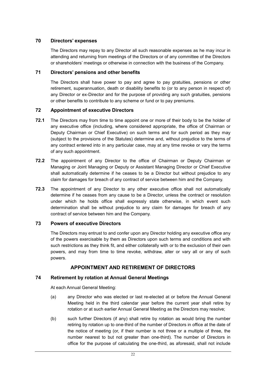## **70 Directors' expenses**

The Directors may repay to any Director all such reasonable expenses as he may incur in attending and returning from meetings of the Directors or of any committee of the Directors or shareholders' meetings or otherwise in connection with the business of the Company.

#### **71 Directors' pensions and other benefits**

The Directors shall have power to pay and agree to pay gratuities, pensions or other retirement, superannuation, death or disability benefits to (or to any person in respect of) any Director or ex-Director and for the purpose of providing any such gratuities, pensions or other benefits to contribute to any scheme or fund or to pay premiums.

#### **72 Appointment of executive Directors**

- **72.1** The Directors may from time to time appoint one or more of their body to be the holder of any executive office (including, where considered appropriate, the office of Chairman or Deputy Chairman or Chief Executive) on such terms and for such period as they may (subject to the provisions of the Statutes) determine and, without prejudice to the terms of any contract entered into in any particular case, may at any time revoke or vary the terms of any such appointment.
- **72.2** The appointment of any Director to the office of Chairman or Deputy Chairman or Managing or Joint Managing or Deputy or Assistant Managing Director or Chief Executive shall automatically determine if he ceases to be a Director but without prejudice to any claim for damages for breach of any contract of service between him and the Company.
- **72.3** The appointment of any Director to any other executive office shall not automatically determine if he ceases from any cause to be a Director, unless the contract or resolution under which he holds office shall expressly state otherwise, in which event such determination shall be without prejudice to any claim for damages for breach of any contract of service between him and the Company.

#### **73 Powers of executive Directors**

The Directors may entrust to and confer upon any Director holding any executive office any of the powers exercisable by them as Directors upon such terms and conditions and with such restrictions as they think fit, and either collaterally with or to the exclusion of their own powers, and may from time to time revoke, withdraw, alter or vary all or any of such powers.

## **APPOINTMENT AND RETIREMENT OF DIRECTORS**

#### **74 Retirement by rotation at Annual General Meetings**

At each Annual General Meeting:

- (a) any Director who was elected or last re-elected at or before the Annual General Meeting held in the third calendar year before the current year shall retire by rotation or at such earlier Annual General Meeting as the Directors may resolve;
- (b) such further Directors (if any) shall retire by rotation as would bring the number retiring by rotation up to one-third of the number of Directors in office at the date of the notice of meeting (or, if their number is not three or a multiple of three, the number nearest to but not greater than one-third). The number of Directors in office for the purpose of calculating the one-third, as aforesaid, shall not include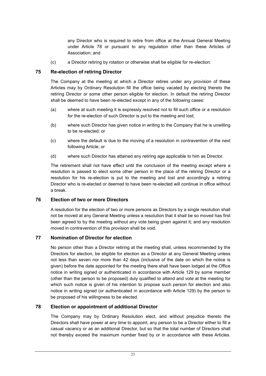any Director who is required to retire from office at the Annual General Meeting under Article 78 or pursuant to any regulation other than these Articles of Association; and

(c) a Director retiring by rotation or otherwise shall be eligible for re-election.

# **75 Re-election of retiring Director**

The Company at the meeting at which a Director retires under any provision of these Articles may by Ordinary Resolution fill the office being vacated by electing thereto the retiring Director or some other person eligible for election. In default the retiring Director shall be deemed to have been re-elected except in any of the following cases:

- (a) where at such meeting it is expressly resolved not to fill such office or a resolution for the re-election of such Director is put to the meeting and lost;
- (b) where such Director has given notice in writing to the Company that he is unwilling to be re-elected; or
- (c) where the default is due to the moving of a resolution in contravention of the next following Article; or
- (d) where such Director has attained any retiring age applicable to him as Director.

The retirement shall not have effect until the conclusion of the meeting except where a resolution is passed to elect some other person in the place of the retiring Director or a resolution for his re-election is put to the meeting and lost and accordingly a retiring Director who is re-elected or deemed to have been re-elected will continue in office without a break.

## **76 Election of two or more Directors**

A resolution for the election of two or more persons as Directors by a single resolution shall not be moved at any General Meeting unless a resolution that it shall be so moved has first been agreed to by the meeting without any vote being given against it; and any resolution moved in contravention of this provision shall be void.

## **77 Nomination of Director for election**

No person other than a Director retiring at the meeting shall, unless recommended by the Directors for election, be eligible for election as a Director at any General Meeting unless not less than seven nor more than 42 days (inclusive of the date on which the notice is given) before the date appointed for the meeting there shall have been lodged at the Office notice in writing signed or authenticated in accordance with Article 129 by some member (other than the person to be proposed) duly qualified to attend and vote at the meeting for which such notice is given of his intention to propose such person for election and also notice in writing signed (or authenticated in accordance with Article 129) by the person to be proposed of his willingness to be elected.

## **78 Election or appointment of additional Director**

The Company may by Ordinary Resolution elect, and without prejudice thereto the Directors shall have power at any time to appoint, any person to be a Director either to fill a casual vacancy or as an additional Director, but so that the total number of Directors shall not thereby exceed the maximum number fixed by or in accordance with these Articles.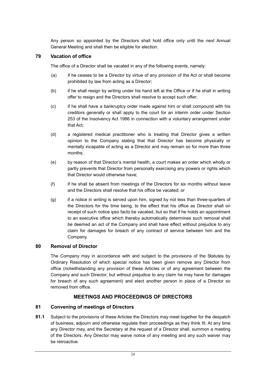Any person so appointed by the Directors shall hold office only until the next Annual General Meeting and shall then be eligible for election.

# **79 Vacation of office**

The office of a Director shall be vacated in any of the following events, namely:

- (a) if he ceases to be a Director by virtue of any provision of the Act or shall become prohibited by law from acting as a Director;
- (b) if he shall resign by writing under his hand left at the Office or if he shall in writing offer to resign and the Directors shall resolve to accept such offer;
- (c) if he shall have a bankruptcy order made against him or shall compound with his creditors generally or shall apply to the court for an interim order under Section 253 of the Insolvency Act 1986 in connection with a voluntary arrangement under that Act;
- (d) a registered medical practitioner who is treating that Director gives a written opinion to the Company stating that that Director has become physically or mentally incapable of acting as a Director and may remain so for more than three months;
- (e) by reason of that Director's mental health, a court makes an order which wholly or partly prevents that Director from personally exercising any powers or rights which that Director would otherwise have;
- (f) if he shall be absent from meetings of the Directors for six months without leave and the Directors shall resolve that his office be vacated; or
- (g) if a notice in writing is served upon him, signed by not less than three-quarters of the Directors for the time being, to the effect that his office as Director shall on receipt of such notice ipso facto be vacated, but so that if he holds an appointment to an executive office which thereby automatically determines such removal shall be deemed an act of the Company and shall have effect without prejudice to any claim for damages for breach of any contract of service between him and the Company.

## **80 Removal of Director**

The Company may in accordance with and subject to the provisions of the Statutes by Ordinary Resolution of which special notice has been given remove any Director from office (notwithstanding any provision of these Articles or of any agreement between the Company and such Director, but without prejudice to any claim he may have for damages for breach of any such agreement) and elect another person in place of a Director so removed from office.

# **MEETINGS AND PROCEEDINGS OF DIRECTORS**

## **81 Convening of meetings of Directors**

**81.1** Subject to the provisions of these Articles the Directors may meet together for the despatch of business, adjourn and otherwise regulate their proceedings as they think fit. At any time any Director may, and the Secretary at the request of a Director shall, summon a meeting of the Directors. Any Director may waive notice of any meeting and any such waiver may be retroactive.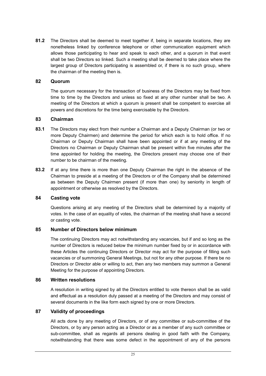**81.2** The Directors shall be deemed to meet together if, being in separate locations, they are nonetheless linked by conference telephone or other communication equipment which allows those participating to hear and speak to each other, and a quorum in that event shall be two Directors so linked. Such a meeting shall be deemed to take place where the largest group of Directors participating is assembled or, if there is no such group, where the chairman of the meeting then is.

#### **82 Quorum**

The quorum necessary for the transaction of business of the Directors may be fixed from time to time by the Directors and unless so fixed at any other number shall be two. A meeting of the Directors at which a quorum is present shall be competent to exercise all powers and discretions for the time being exercisable by the Directors.

#### **83 Chairman**

- **83.1** The Directors may elect from their number a Chairman and a Deputy Chairman (or two or more Deputy Chairmen) and determine the period for which each is to hold office. If no Chairman or Deputy Chairman shall have been appointed or if at any meeting of the Directors no Chairman or Deputy Chairman shall be present within five minutes after the time appointed for holding the meeting, the Directors present may choose one of their number to be chairman of the meeting.
- **83.2** If at any time there is more than one Deputy Chairman the right in the absence of the Chairman to preside at a meeting of the Directors or of the Company shall be determined as between the Deputy Chairmen present (if more than one) by seniority in length of appointment or otherwise as resolved by the Directors.

#### **84 Casting vote**

Questions arising at any meeting of the Directors shall be determined by a majority of votes. In the case of an equality of votes, the chairman of the meeting shall have a second or casting vote.

#### **85 Number of Directors below minimum**

The continuing Directors may act notwithstanding any vacancies, but if and so long as the number of Directors is reduced below the minimum number fixed by or in accordance with these Articles the continuing Directors or Director may act for the purpose of filling such vacancies or of summoning General Meetings, but not for any other purpose. If there be no Directors or Director able or willing to act, then any two members may summon a General Meeting for the purpose of appointing Directors.

#### **86 Written resolutions**

A resolution in writing signed by all the Directors entitled to vote thereon shall be as valid and effectual as a resolution duly passed at a meeting of the Directors and may consist of several documents in the like form each signed by one or more Directors.

## **87 Validity of proceedings**

All acts done by any meeting of Directors, or of any committee or sub-committee of the Directors, or by any person acting as a Director or as a member of any such committee or sub-committee, shall as regards all persons dealing in good faith with the Company, notwithstanding that there was some defect in the appointment of any of the persons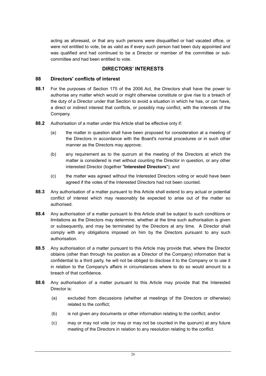acting as aforesaid, or that any such persons were disqualified or had vacated office, or were not entitled to vote, be as valid as if every such person had been duly appointed and was qualified and had continued to be a Director or member of the committee or subcommittee and had been entitled to vote.

#### **DIRECTORS' INTERESTS**

#### **88 Directors' conflicts of interest**

- **88.1** For the purposes of Section 175 of the 2006 Act, the Directors shall have the power to authorise any matter which would or might otherwise constitute or give rise to a breach of the duty of a Director under that Section to avoid a situation in which he has, or can have, a direct or indirect interest that conflicts, or possibly may conflict, with the interests of the Company.
- **88.2** Authorisation of a matter under this Article shall be effective only if:
	- (a) the matter in question shall have been proposed for consideration at a meeting of the Directors in accordance with the Board's normal procedures or in such other manner as the Directors may approve;
	- (b) any requirement as to the quorum at the meeting of the Directors at which the matter is considered is met without counting the Director in question, or any other interested Director (together "**Interested Directors**"); and
	- (c) the matter was agreed without the Interested Directors voting or would have been agreed if the votes of the Interested Directors had not been counted.
- **88.3** Any authorisation of a matter pursuant to this Article shall extend to any actual or potential conflict of interest which may reasonably be expected to arise out of the matter so authorised.
- **88.4** Any authorisation of a matter pursuant to this Article shall be subject to such conditions or limitations as the Directors may determine, whether at the time such authorisation is given or subsequently, and may be terminated by the Directors at any time. A Director shall comply with any obligations imposed on him by the Directors pursuant to any such authorisation.
- **88.5** Any authorisation of a matter pursuant to this Article may provide that, where the Director obtains (other than through his position as a Director of the Company) information that is confidential to a third party, he will not be obliged to disclose it to the Company or to use it in relation to the Company's affairs in circumstances where to do so would amount to a breach of that confidence.
- **88.6** Any authorisation of a matter pursuant to this Article may provide that the Interested Director is:
	- (a) excluded from discussions (whether at meetings of the Directors or otherwise) related to the conflict;
	- (b) is not given any documents or other information relating to the conflict; and/or
	- (c) may or may not vote (or may or may not be counted in the quorum) at any future meeting of the Directors in relation to any resolution relating to the conflict.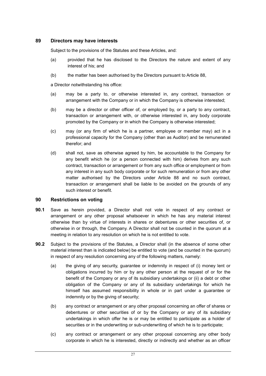## **89 Directors may have interests**

Subject to the provisions of the Statutes and these Articles, and:

- (a) provided that he has disclosed to the Directors the nature and extent of any interest of his; and
- (b) the matter has been authorised by the Directors pursuant to Article 88,

a Director notwithstanding his office:

- (a) may be a party to, or otherwise interested in, any contract, transaction or arrangement with the Company or in which the Company is otherwise interested;
- (b) may be a director or other officer of, or employed by, or a party to any contract, transaction or arrangement with, or otherwise interested in, any body corporate promoted by the Company or in which the Company is otherwise interested;
- (c) may (or any firm of which he is a partner, employee or member may) act in a professional capacity for the Company (other than as Auditor) and be remunerated therefor; and
- (d) shall not, save as otherwise agreed by him, be accountable to the Company for any benefit which he (or a person connected with him) derives from any such contract, transaction or arrangement or from any such office or employment or from any interest in any such body corporate or for such remuneration or from any other matter authorised by the Directors under Article 88 and no such contract, transaction or arrangement shall be liable to be avoided on the grounds of any such interest or benefit.

## **90 Restrictions on voting**

- **90.1** Save as herein provided, a Director shall not vote in respect of any contract or arrangement or any other proposal whatsoever in which he has any material interest otherwise than by virtue of interests in shares or debentures or other securities of, or otherwise in or through, the Company. A Director shall not be counted in the quorum at a meeting in relation to any resolution on which he is not entitled to vote.
- **90.2** Subject to the provisions of the Statutes, a Director shall (in the absence of some other material interest than is indicated below) be entitled to vote (and be counted in the quorum) in respect of any resolution concerning any of the following matters, namely:
	- (a) the giving of any security, guarantee or indemnity in respect of (i) money lent or obligations incurred by him or by any other person at the request of or for the benefit of the Company or any of its subsidiary undertakings or (ii) a debt or other obligation of the Company or any of its subsidiary undertakings for which he himself has assumed responsibility in whole or in part under a guarantee or indemnity or by the giving of security;
	- (b) any contract or arrangement or any other proposal concerning an offer of shares or debentures or other securities of or by the Company or any of its subsidiary undertakings in which offer he is or may be entitled to participate as a holder of securities or in the underwriting or sub-underwriting of which he is to participate;
	- (c) any contract or arrangement or any other proposal concerning any other body corporate in which he is interested, directly or indirectly and whether as an officer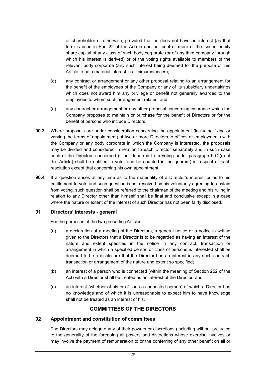or shareholder or otherwise, provided that he does not have an interest (as that term is used in Part 22 of the Act) in one per cent or more of the issued equity share capital of any class of such body corporate (or of any third company through which his interest is derived) or of the voting rights available to members of the relevant body corporate (any such interest being deemed for the purpose of this Article to be a material interest in all circumstances);

- (d) any contract or arrangement or any other proposal relating to an arrangement for the benefit of the employees of the Company or any of its subsidiary undertakings which does not award him any privilege or benefit not generally awarded to the employees to whom such arrangement relates; and
- (e) any contract or arrangement or any other proposal concerning insurance which the Company proposes to maintain or purchase for the benefit of Directors or for the benefit of persons who include Directors.
- **90.3** Where proposals are under consideration concerning the appointment (including fixing or varying the terms of appointment) of two or more Directors to offices or employments with the Company or any body corporate in which the Company is interested, the proposals may be divided and considered in relation to each Director separately and in such case each of the Directors concerned (if not debarred from voting under paragraph 90.2(c) of this Article) shall be entitled to vote (and be counted in the quorum) in respect of each resolution except that concerning his own appointment.
- **90.4** If a question arises at any time as to the materiality of a Director's interest or as to his entitlement to vote and such question is not resolved by his voluntarily agreeing to abstain from voting, such question shall be referred to the chairman of the meeting and his ruling in relation to any Director other than himself shall be final and conclusive except in a case where the nature or extent of the interest of such Director has not been fairly disclosed.

#### **91 Directors' interests - general**

For the purposes of the two preceding Articles:

- (a) a declaration at a meeting of the Directors, a general notice or a notice in writing given to the Directors that a Director is to be regarded as having an interest of the nature and extent specified in the notice in any contract, transaction or arrangement in which a specified person or class of persons is interested shall be deemed to be a disclosure that the Director has an interest in any such contract, transaction or arrangement of the nature and extent so specified;
- (b) an interest of a person who is connected (within the meaning of Section 252 of the Act) with a Director shall be treated as an interest of the Director; and
- (c) an interest (whether of his or of such a connected person) of which a Director has no knowledge and of which it is unreasonable to expect him to have knowledge shall not be treated as an interest of his.

# **COMMITTEES OF THE DIRECTORS**

## **92 Appointment and constitution of committees**

The Directors may delegate any of their powers or discretions (including without prejudice to the generality of the foregoing all powers and discretions whose exercise involves or may involve the payment of remuneration to or the conferring of any other benefit on all or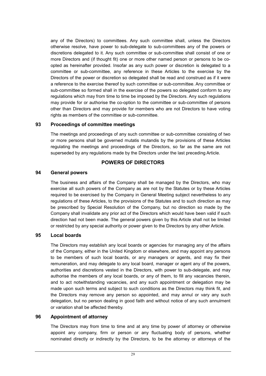any of the Directors) to committees. Any such committee shall, unless the Directors otherwise resolve, have power to sub-delegate to sub-committees any of the powers or discretions delegated to it. Any such committee or sub-committee shall consist of one or more Directors and (if thought fit) one or more other named person or persons to be coopted as hereinafter provided. Insofar as any such power or discretion is delegated to a committee or sub-committee, any reference in these Articles to the exercise by the Directors of the power or discretion so delegated shall be read and construed as if it were a reference to the exercise thereof by such committee or sub-committee. Any committee or sub-committee so formed shall in the exercise of the powers so delegated conform to any regulations which may from time to time be imposed by the Directors. Any such regulations may provide for or authorise the co-option to the committee or sub-committee of persons other than Directors and may provide for members who are not Directors to have voting rights as members of the committee or sub-committee.

#### **93 Proceedings of committee meetings**

The meetings and proceedings of any such committee or sub-committee consisting of two or more persons shall be governed mutatis mutandis by the provisions of these Articles regulating the meetings and proceedings of the Directors, so far as the same are not superseded by any regulations made by the Directors under the last preceding Article.

## **POWERS OF DIRECTORS**

#### **94 General powers**

The business and affairs of the Company shall be managed by the Directors, who may exercise all such powers of the Company as are not by the Statutes or by these Articles required to be exercised by the Company in General Meeting subject nevertheless to any regulations of these Articles, to the provisions of the Statutes and to such direction as may be prescribed by Special Resolution of the Company, but no direction so made by the Company shall invalidate any prior act of the Directors which would have been valid if such direction had not been made. The general powers given by this Article shall not be limited or restricted by any special authority or power given to the Directors by any other Article.

## **95 Local boards**

The Directors may establish any local boards or agencies for managing any of the affairs of the Company, either in the United Kingdom or elsewhere, and may appoint any persons to be members of such local boards, or any managers or agents, and may fix their remuneration, and may delegate to any local board, manager or agent any of the powers, authorities and discretions vested in the Directors, with power to sub-delegate, and may authorise the members of any local boards, or any of them, to fill any vacancies therein, and to act notwithstanding vacancies, and any such appointment or delegation may be made upon such terms and subject to such conditions as the Directors may think fit, and the Directors may remove any person so appointed, and may annul or vary any such delegation, but no person dealing in good faith and without notice of any such annulment or variation shall be affected thereby.

## **96 Appointment of attorney**

The Directors may from time to time and at any time by power of attorney or otherwise appoint any company, firm or person or any fluctuating body of persons, whether nominated directly or indirectly by the Directors, to be the attorney or attorneys of the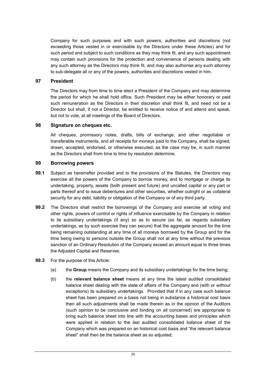Company for such purposes and with such powers, authorities and discretions (not exceeding those vested in or exercisable by the Directors under these Articles) and for such period and subject to such conditions as they may think fit, and any such appointment may contain such provisions for the protection and convenience of persons dealing with any such attorney as the Directors may think fit, and may also authorise any such attorney to sub-delegate all or any of the powers, authorities and discretions vested in him.

#### **97 President**

The Directors may from time to time elect a President of the Company and may determine the period for which he shall hold office. Such President may be either honorary or paid such remuneration as the Directors in their discretion shall think fit, and need not be a Director but shall, if not a Director, be entitled to receive notice of and attend and speak, but not to vote, at all meetings of the Board of Directors.

#### **98 Signature on cheques etc.**

All cheques, promissory notes, drafts, bills of exchange, and other negotiable or transferable instruments, and all receipts for moneys paid to the Company, shall be signed, drawn, accepted, endorsed, or otherwise executed, as the case may be, in such manner as the Directors shall from time to time by resolution determine.

#### **99 Borrowing powers**

- **99.1** Subject as hereinafter provided and to the provisions of the Statutes, the Directors may exercise all the powers of the Company to borrow money, and to mortgage or charge its undertaking, property, assets (both present and future) and uncalled capital or any part or parts thereof and to issue debentures and other securities, whether outright or as collateral security for any debt, liability or obligation of the Company or of any third party.
- **99.2** The Directors shall restrict the borrowings of the Company and exercise all voting and other rights, powers of control or rights of influence exercisable by the Company in relation to its subsidiary undertakings (if any) so as to secure (so far, as regards subsidiary undertakings, as by such exercise they can secure) that the aggregate amount for the time being remaining outstanding at any time of all moneys borrowed by the Group and for the time being owing to persons outside the Group shall not at any time without the previous sanction of an Ordinary Resolution of the Company exceed an amount equal to three times the Adjusted Capital and Reserves.
- **99.3** For the purpose of this Article:
	- (a) the **Group** means the Company and its subsidiary undertakings for the time being;
	- (b) the **relevant balance sheet** means at any time the latest audited consolidated balance sheet dealing with the state of affairs of the Company and (with or without exceptions) its subsidiary undertakings. Provided that if in any case such balance sheet has been prepared on a basis not being in substance a historical cost basis then all such adjustments shall be made therein as in the opinion of the Auditors (such opinion to be conclusive and binding on all concerned) are appropriate to bring such balance sheet into line with the accounting bases and principles which were applied in relation to the last audited consolidated balance sheet of the Company which was prepared on an historical cost basis and "the relevant balance sheet" shall then be the balance sheet as so adjusted;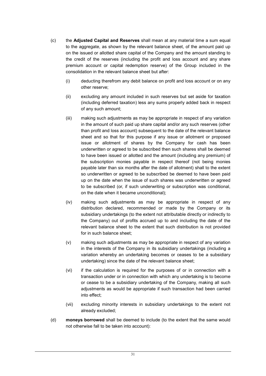- (c) the **Adjusted Capital and Reserves** shall mean at any material time a sum equal to the aggregate, as shown by the relevant balance sheet, of the amount paid up on the issued or allotted share capital of the Company and the amount standing to the credit of the reserves (including the profit and loss account and any share premium account or capital redemption reserve) of the Group included in the consolidation in the relevant balance sheet but after:
	- (i) deducting therefrom any debit balance on profit and loss account or on any other reserve;
	- (ii) excluding any amount included in such reserves but set aside for taxation (including deferred taxation) less any sums properly added back in respect of any such amount;
	- (iii) making such adjustments as may be appropriate in respect of any variation in the amount of such paid up share capital and/or any such reserves (other than profit and loss account) subsequent to the date of the relevant balance sheet and so that for this purpose if any issue or allotment or proposed issue or allotment of shares by the Company for cash has been underwritten or agreed to be subscribed then such shares shall be deemed to have been issued or allotted and the amount (including any premium) of the subscription monies payable in respect thereof (not being monies payable later than six months after the date of allotment) shall to the extent so underwritten or agreed to be subscribed be deemed to have been paid up on the date when the issue of such shares was underwritten or agreed to be subscribed (or, if such underwriting or subscription was conditional, on the date when it became unconditional);
	- (iv) making such adjustments as may be appropriate in respect of any distribution declared, recommended or made by the Company or its subsidiary undertakings (to the extent not attributable directly or indirectly to the Company) out of profits accrued up to and including the date of the relevant balance sheet to the extent that such distribution is not provided for in such balance sheet;
	- (v) making such adjustments as may be appropriate in respect of any variation in the interests of the Company in its subsidiary undertakings (including a variation whereby an undertaking becomes or ceases to be a subsidiary undertaking) since the date of the relevant balance sheet;
	- (vi) if the calculation is required for the purposes of or in connection with a transaction under or in connection with which any undertaking is to become or cease to be a subsidiary undertaking of the Company, making all such adjustments as would be appropriate if such transaction had been carried into effect;
	- (vii) excluding minority interests in subsidiary undertakings to the extent not already excluded;
- (d) **moneys borrowed** shall be deemed to include (to the extent that the same would not otherwise fall to be taken into account):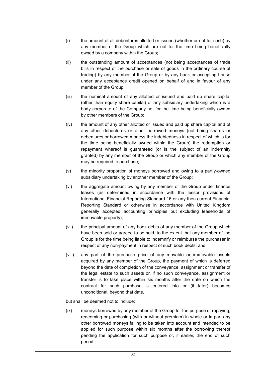- (i) the amount of all debentures allotted or issued (whether or not for cash) by any member of the Group which are not for the time being beneficially owned by a company within the Group;
- (ii) the outstanding amount of acceptances (not being acceptances of trade bills in respect of the purchase or sale of goods in the ordinary course of trading) by any member of the Group or by any bank or accepting house under any acceptance credit opened on behalf of and in favour of any member of the Group;
- (iii) the nominal amount of any allotted or issued and paid up share capital (other than equity share capital) of any subsidiary undertaking which is a body corporate of the Company not for the time being beneficially owned by other members of the Group;
- (iv) the amount of any other allotted or issued and paid up share capital and of any other debentures or other borrowed moneys (not being shares or debentures or borrowed moneys the indebtedness in respect of which is for the time being beneficially owned within the Group) the redemption or repayment whereof is guaranteed (or is the subject of an indemnity granted) by any member of the Group or which any member of the Group may be required to purchase;
- (v) the minority proportion of moneys borrowed and owing to a partly-owned subsidiary undertaking by another member of the Group;
- (vi) the aggregate amount owing by any member of the Group under finance leases (as determined in accordance with the lessor provisions of International Financial Reporting Standard 16 or any then current Financial Reporting Standard or otherwise in accordance with United Kingdom generally accepted accounting principles but excluding leaseholds of immovable property);
- (vii) the principal amount of any book debts of any member of the Group which have been sold or agreed to be sold, to the extent that any member of the Group is for the time being liable to indemnify or reimburse the purchaser in respect of any non-payment in respect of such book debts; and
- (viii) any part of the purchase price of any movable or immovable assets acquired by any member of the Group, the payment of which is deferred beyond the date of completion of the conveyance, assignment or transfer of the legal estate to such assets or, if no such conveyance, assignment or transfer is to take place within six months after the date on which the contract for such purchase is entered into or (if later) becomes unconditional, beyond that date,

but shall be deemed not to include:

(ix) moneys borrowed by any member of the Group for the purpose of repaying, redeeming or purchasing (with or without premium) in whole or in part any other borrowed moneys falling to be taken into account and intended to be applied for such purpose within six months after the borrowing thereof pending the application for such purpose or, if earlier, the end of such period;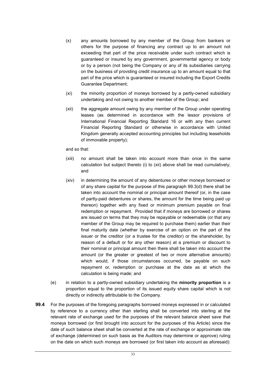- (x) any amounts borrowed by any member of the Group from bankers or others for the purpose of financing any contract up to an amount not exceeding that part of the price receivable under such contract which is guaranteed or insured by any government, governmental agency or body or by a person (not being the Company or any of its subsidiaries carrying on the business of providing credit insurance up to an amount equal to that part of the price which is guaranteed or insured including the Export Credits Guarantee Department;
- (xi) the minority proportion of moneys borrowed by a partly-owned subsidiary undertaking and not owing to another member of the Group; and
- (xii) the aggregate amount owing by any member of the Group under operating leases (as determined in accordance with the lessor provisions of International Financial Reporting Standard 16 or with any then current Financial Reporting Standard or otherwise in accordance with United Kingdom generally accepted accounting principles but including leaseholds of immovable property);

and so that:

- (xiii) no amount shall be taken into account more than once in the same calculation but subject thereto (i) to (xii) above shall be read cumulatively; and
- (xiv) in determining the amount of any debentures or other moneys borrowed or of any share capital for the purpose of this paragraph 99.3(d) there shall be taken into account the nominal or principal amount thereof (or, in the case of partly-paid debentures or shares, the amount for the time being paid up thereon) together with any fixed or minimum premium payable on final redemption or repayment. Provided that if moneys are borrowed or shares are issued on terms that they may be repayable or redeemable (or that any member of the Group may be required to purchase them) earlier than their final maturity date (whether by exercise of an option on the part of the issuer or the creditor (or a trustee for the creditor) or the shareholder, by reason of a default or for any other reason) at a premium or discount to their nominal or principal amount then there shall be taken into account the amount (or the greater or greatest of two or more alternative amounts) which would, if those circumstances occurred, be payable on such repayment or, redemption or purchase at the date as at which the calculation is being made; and
- (e) in relation to a partly-owned subsidiary undertaking the **minority proportion** is a proportion equal to the proportion of its issued equity share capital which is not directly or indirectly attributable to the Company.
- **99.4** For the purposes of the foregoing paragraphs borrowed moneys expressed in or calculated by reference to a currency other than sterling shall be converted into sterling at the relevant rate of exchange used for the purposes of the relevant balance sheet save that moneys borrowed (or first brought into account for the purposes of this Article) since the date of such balance sheet shall be converted at the rate of exchange or approximate rate of exchange (determined on such basis as the Auditors may determine or approve) ruling on the date on which such moneys are borrowed (or first taken into account as aforesaid):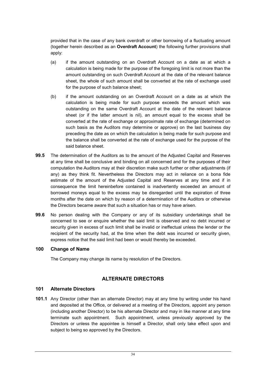provided that in the case of any bank overdraft or other borrowing of a fluctuating amount (together herein described as an **Overdraft Account**) the following further provisions shall apply:

- (a) if the amount outstanding on an Overdraft Account on a date as at which a calculation is being made for the purpose of the foregoing limit is not more than the amount outstanding on such Overdraft Account at the date of the relevant balance sheet, the whole of such amount shall be converted at the rate of exchange used for the purpose of such balance sheet;
- (b) if the amount outstanding on an Overdraft Account on a date as at which the calculation is being made for such purpose exceeds the amount which was outstanding on the same Overdraft Account at the date of the relevant balance sheet (or if the latter amount is nil), an amount equal to the excess shall be converted at the rate of exchange or approximate rate of exchange (determined on such basis as the Auditors may determine or approve) on the last business day preceding the date as on which the calculation is being made for such purpose and the balance shall be converted at the rate of exchange used for the purpose of the said balance sheet.
- **99.5** The determination of the Auditors as to the amount of the Adjusted Capital and Reserves at any time shall be conclusive and binding on all concerned and for the purposes of their computation the Auditors may at their discretion make such further or other adjustments (if any) as they think fit. Nevertheless the Directors may act in reliance on a bona fide estimate of the amount of the Adjusted Capital and Reserves at any time and if in consequence the limit hereinbefore contained is inadvertently exceeded an amount of borrowed moneys equal to the excess may be disregarded until the expiration of three months after the date on which by reason of a determination of the Auditors or otherwise the Directors became aware that such a situation has or may have arisen.
- **99.6** No person dealing with the Company or any of its subsidiary undertakings shall be concerned to see or enquire whether the said limit is observed and no debt incurred or security given in excess of such limit shall be invalid or ineffectual unless the lender or the recipient of the security had, at the time when the debt was incurred or security given, express notice that the said limit had been or would thereby be exceeded.

#### **100 Change of Name**

The Company may change its name by resolution of the Directors.

# **ALTERNATE DIRECTORS**

## **101 Alternate Directors**

**101.1** Any Director (other than an alternate Director) may at any time by writing under his hand and deposited at the Office, or delivered at a meeting of the Directors, appoint any person (including another Director) to be his alternate Director and may in like manner at any time terminate such appointment. Such appointment, unless previously approved by the Directors or unless the appointee is himself a Director, shall only take effect upon and subject to being so approved by the Directors.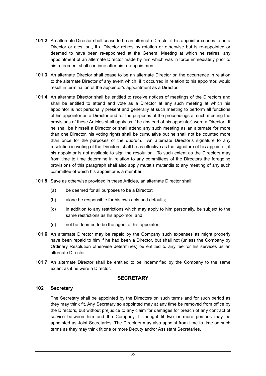- **101.2** An alternate Director shall cease to be an alternate Director if his appointor ceases to be a Director or dies, but, if a Director retires by rotation or otherwise but is re-appointed or deemed to have been re-appointed at the General Meeting at which he retires, any appointment of an alternate Director made by him which was in force immediately prior to his retirement shall continue after his re-appointment.
- **101.3** An alternate Director shall cease to be an alternate Director on the occurrence in relation to the alternate Director of any event which, if it occurred in relation to his appointor, would result in termination of the appointor's appointment as a Director.
- **101.4** An alternate Director shall be entitled to receive notices of meetings of the Directors and shall be entitled to attend and vote as a Director at any such meeting at which his appointor is not personally present and generally at such meeting to perform all functions of his appointor as a Director and for the purposes of the proceedings at such meeting the provisions of these Articles shall apply as if he (instead of his appointor) were a Director. If he shall be himself a Director or shall attend any such meeting as an alternate for more than one Director, his voting rights shall be cumulative but he shall not be counted more than once for the purposes of the quorum. An alternate Director's signature to any resolution in writing of the Directors shall be as effective as the signature of his appointor, if his appointor is not available to sign the resolution. To such extent as the Directors may from time to time determine in relation to any committees of the Directors the foregoing provisions of this paragraph shall also apply mutatis mutandis to any meeting of any such committee of which his appointor is a member.
- **101.5** Save as otherwise provided in these Articles, an alternate Director shall:
	- (a) be deemed for all purposes to be a Director;
	- (b) alone be responsible for his own acts and defaults;
	- (c) in addition to any restrictions which may apply to him personally, be subject to the same restrictions as his appointor; and
	- (d) not be deemed to be the agent of his appointor.
- **101.6** An alternate Director may be repaid by the Company such expenses as might properly have been repaid to him if he had been a Director, but shall not (unless the Company by Ordinary Resolution otherwise determines) be entitled to any fee for his services as an alternate Director.
- **101.7** An alternate Director shall be entitled to be indemnified by the Company to the same extent as if he were a Director.

#### **SECRETARY**

#### **102 Secretary**

The Secretary shall be appointed by the Directors on such terms and for such period as they may think fit. Any Secretary so appointed may at any time be removed from office by the Directors, but without prejudice to any claim for damages for breach of any contract of service between him and the Company. If thought fit two or more persons may be appointed as Joint Secretaries. The Directors may also appoint from time to time on such terms as they may think fit one or more Deputy and/or Assistant Secretaries.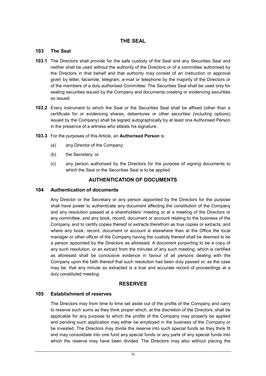## **THE SEAL**

#### **103 The Seal**

- **103.1** The Directors shall provide for the safe custody of the Seal and any Securities Seal and neither shall be used without the authority of the Directors or of a committee authorised by the Directors in that behalf and that authority may consist of an instruction or approval given by letter, facsimile, telegram, e-mail or telephone by the majority of the Directors or of the members of a duly authorised Committee. The Securities Seal shall be used only for sealing securities issued by the Company and documents creating or evidencing securities so issued.
- **103.2** Every instrument to which the Seal or the Securities Seal shall be affixed (other than a certificate for or evidencing shares, debentures or other securities (including options) issued by the Company) shall be signed autographically by at least one Authorised Person in the presence of a witness who attests his signature.
- **103.3** For the purposes of this Article, an **Authorised Person** is:
	- (a) any Director of the Company;
	- (b) the Secretary; or
	- (c) any person authorised by the Directors for the purpose of signing documents to which the Seal or the Securities Seal is to be applied.

# **AUTHENTICATION OF DOCUMENTS**

#### **104 Authentication of documents**

Any Director or the Secretary or any person appointed by the Directors for the purpose shall have power to authenticate any document affecting the constitution of the Company and any resolution passed at a shareholders' meeting or at a meeting of the Directors or any committee, and any book, record, document or account relating to the business of the Company, and to certify copies thereof or extracts therefrom as true copies or extracts; and where any book, record, document or account is elsewhere than at the Office the local manager or other officer of the Company having the custody thereof shall be deemed to be a person appointed by the Directors as aforesaid. A document purporting to be a copy of any such resolution, or an extract from the minutes of any such meeting, which is certified as aforesaid shall be conclusive evidence in favour of all persons dealing with the Company upon the faith thereof that such resolution has been duly passed or, as the case may be, that any minute so extracted is a true and accurate record of proceedings at a duly constituted meeting.

## **RESERVES**

## **105 Establishment of reserves**

The Directors may from time to time set aside out of the profits of the Company and carry to reserve such sums as they think proper which, at the discretion of the Directors, shall be applicable for any purpose to which the profits of the Company may properly be applied and pending such application may either be employed in the business of the Company or be invested. The Directors may divide the reserve into such special funds as they think fit and may consolidate into one fund any special funds or any parts of any special funds into which the reserve may have been divided. The Directors may also without placing the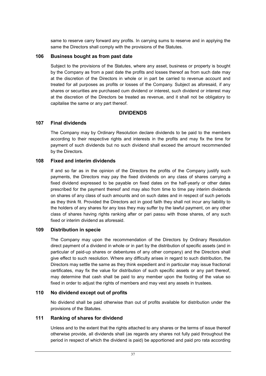same to reserve carry forward any profits. In carrying sums to reserve and in applying the same the Directors shall comply with the provisions of the Statutes.

#### **106 Business bought as from past date**

Subject to the provisions of the Statutes, where any asset, business or property is bought by the Company as from a past date the profits and losses thereof as from such date may at the discretion of the Directors in whole or in part be carried to revenue account and treated for all purposes as profits or losses of the Company. Subject as aforesaid, if any shares or securities are purchased cum dividend or interest, such dividend or interest may at the discretion of the Directors be treated as revenue, and it shall not be obligatory to capitalise the same or any part thereof.

## **DIVIDENDS**

#### **107 Final dividends**

The Company may by Ordinary Resolution declare dividends to be paid to the members according to their respective rights and interests in the profits and may fix the time for payment of such dividends but no such dividend shall exceed the amount recommended by the Directors.

#### **108 Fixed and interim dividends**

If and so far as in the opinion of the Directors the profits of the Company justify such payments, the Directors may pay the fixed dividends on any class of shares carrying a fixed dividend expressed to be payable on fixed dates on the half-yearly or other dates prescribed for the payment thereof and may also from time to time pay interim dividends on shares of any class of such amounts and on such dates and in respect of such periods as they think fit. Provided the Directors act in good faith they shall not incur any liability to the holders of any shares for any loss they may suffer by the lawful payment, on any other class of shares having rights ranking after or pari passu with those shares, of any such fixed or interim dividend as aforesaid.

#### **109 Distribution in specie**

The Company may upon the recommendation of the Directors by Ordinary Resolution direct payment of a dividend in whole or in part by the distribution of specific assets (and in particular of paid-up shares or debentures of any other company) and the Directors shall give effect to such resolution. Where any difficulty arises in regard to such distribution, the Directors may settle the same as they think expedient and in particular may issue fractional certificates, may fix the value for distribution of such specific assets or any part thereof, may determine that cash shall be paid to any member upon the footing of the value so fixed in order to adjust the rights of members and may vest any assets in trustees.

#### **110 No dividend except out of profits**

No dividend shall be paid otherwise than out of profits available for distribution under the provisions of the Statutes.

#### **111 Ranking of shares for dividend**

Unless and to the extent that the rights attached to any shares or the terms of issue thereof otherwise provide, all dividends shall (as regards any shares not fully paid throughout the period in respect of which the dividend is paid) be apportioned and paid pro rata according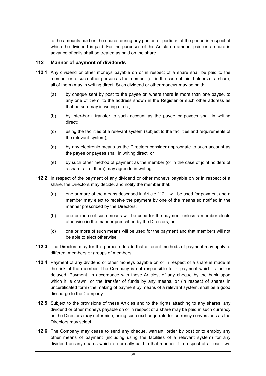to the amounts paid on the shares during any portion or portions of the period in respect of which the dividend is paid. For the purposes of this Article no amount paid on a share in advance of calls shall be treated as paid on the share.

#### **112 Manner of payment of dividends**

- **112.1** Any dividend or other moneys payable on or in respect of a share shall be paid to the member or to such other person as the member (or, in the case of joint holders of a share, all of them) may in writing direct. Such dividend or other moneys may be paid:
	- (a) by cheque sent by post to the payee or, where there is more than one payee, to any one of them, to the address shown in the Register or such other address as that person may in writing direct;
	- (b) by inter-bank transfer to such account as the payee or payees shall in writing direct;
	- (c) using the facilities of a relevant system (subject to the facilities and requirements of the relevant system);
	- (d) by any electronic means as the Directors consider appropriate to such account as the payee or payees shall in writing direct; or
	- (e) by such other method of payment as the member (or in the case of joint holders of a share, all of them) may agree to in writing.
- **112.2** In respect of the payment of any dividend or other moneys payable on or in respect of a share, the Directors may decide, and notify the member that:
	- (a) one or more of the means described in Article 112.1 will be used for payment and a member may elect to receive the payment by one of the means so notified in the manner prescribed by the Directors;
	- (b) one or more of such means will be used for the payment unless a member elects otherwise in the manner prescribed by the Directors; or
	- (c) one or more of such means will be used for the payment and that members will not be able to elect otherwise.
- **112.3** The Directors may for this purpose decide that different methods of payment may apply to different members or groups of members.
- **112.4** Payment of any dividend or other moneys payable on or in respect of a share is made at the risk of the member. The Company is not responsible for a payment which is lost or delayed. Payment, in accordance with these Articles, of any cheque by the bank upon which it is drawn, or the transfer of funds by any means, or (in respect of shares in uncertificated form) the making of payment by means of a relevant system, shall be a good discharge to the Company.
- **112.5** Subject to the provisions of these Articles and to the rights attaching to any shares, any dividend or other moneys payable on or in respect of a share may be paid in such currency as the Directors may determine, using such exchange rate for currency conversions as the Directors may select.
- **112.6** The Company may cease to send any cheque, warrant, order by post or to employ any other means of payment (including using the facilities of a relevant system) for any dividend on any shares which is normally paid in that manner if in respect of at least two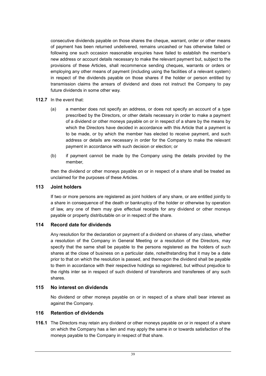consecutive dividends payable on those shares the cheque, warrant, order or other means of payment has been returned undelivered, remains uncashed or has otherwise failed or following one such occasion reasonable enquiries have failed to establish the member's new address or account details necessary to make the relevant payment but, subject to the provisions of these Articles, shall recommence sending cheques, warrants or orders or employing any other means of payment (including using the facilities of a relevant system) in respect of the dividends payable on those shares if the holder or person entitled by transmission claims the arrears of dividend and does not instruct the Company to pay future dividends in some other way.

#### **112.7** In the event that:

- (a) a member does not specify an address, or does not specify an account of a type prescribed by the Directors, or other details necessary in order to make a payment of a dividend or other moneys payable on or in respect of a share by the means by which the Directors have decided in accordance with this Article that a payment is to be made, or by which the member has elected to receive payment, and such address or details are necessary in order for the Company to make the relevant payment in accordance with such decision or election; or
- (b) if payment cannot be made by the Company using the details provided by the member,

then the dividend or other moneys payable on or in respect of a share shall be treated as unclaimed for the purposes of these Articles.

## **113 Joint holders**

If two or more persons are registered as joint holders of any share, or are entitled jointly to a share in consequence of the death or bankruptcy of the holder or otherwise by operation of law, any one of them may give effectual receipts for any dividend or other moneys payable or property distributable on or in respect of the share.

## **114 Record date for dividends**

Any resolution for the declaration or payment of a dividend on shares of any class, whether a resolution of the Company in General Meeting or a resolution of the Directors, may specify that the same shall be payable to the persons registered as the holders of such shares at the close of business on a particular date, notwithstanding that it may be a date prior to that on which the resolution is passed, and thereupon the dividend shall be payable to them in accordance with their respective holdings so registered, but without prejudice to the rights inter se in respect of such dividend of transferors and transferees of any such shares.

# **115 No interest on dividends**

No dividend or other moneys payable on or in respect of a share shall bear interest as against the Company.

## **116 Retention of dividends**

**116.1** The Directors may retain any dividend or other moneys payable on or in respect of a share on which the Company has a lien and may apply the same in or towards satisfaction of the moneys payable to the Company in respect of that share.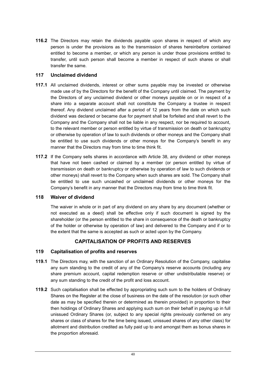**116.2** The Directors may retain the dividends payable upon shares in respect of which any person is under the provisions as to the transmission of shares hereinbefore contained entitled to become a member, or which any person is under those provisions entitled to transfer, until such person shall become a member in respect of such shares or shall transfer the same.

## **117 Unclaimed dividend**

- **117.1** All unclaimed dividends, interest or other sums payable may be invested or otherwise made use of by the Directors for the benefit of the Company until claimed. The payment by the Directors of any unclaimed dividend or other moneys payable on or in respect of a share into a separate account shall not constitute the Company a trustee in respect thereof. Any dividend unclaimed after a period of 12 years from the date on which such dividend was declared or became due for payment shall be forfeited and shall revert to the Company and the Company shall not be liable in any respect, nor be required to account, to the relevant member or person entitled by virtue of transmission on death or bankruptcy or otherwise by operation of law to such dividends or other moneys and the Company shall be entitled to use such dividends or other moneys for the Company's benefit in any manner that the Directors may from time to time think fit.
- **117.2** If the Company sells shares in accordance with Article 38, any dividend or other moneys that have not been cashed or claimed by a member (or person entitled by virtue of transmission on death or bankruptcy or otherwise by operation of law to such dividends or other moneys) shall revert to the Company when such shares are sold. The Company shall be entitled to use such uncashed or unclaimed dividends or other moneys for the Company's benefit in any manner that the Directors may from time to time think fit.

#### **118 Waiver of dividend**

The waiver in whole or in part of any dividend on any share by any document (whether or not executed as a deed) shall be effective only if such document is signed by the shareholder (or the person entitled to the share in consequence of the death or bankruptcy of the holder or otherwise by operation of law) and delivered to the Company and if or to the extent that the same is accepted as such or acted upon by the Company.

# **CAPITALISATION OF PROFITS AND RESERVES**

## **119 Capitalisation of profits and reserves**

- **119.1** The Directors may, with the sanction of an Ordinary Resolution of the Company, capitalise any sum standing to the credit of any of the Company's reserve accounts (including any share premium account, capital redemption reserve or other undistributable reserve) or any sum standing to the credit of the profit and loss account.
- **119.2** Such capitalisation shall be effected by appropriating such sum to the holders of Ordinary Shares on the Register at the close of business on the date of the resolution (or such other date as may be specified therein or determined as therein provided) in proportion to their then holdings of Ordinary Shares and applying such sum on their behalf in paying up in full unissued Ordinary Shares (or, subject to any special rights previously conferred on any shares or class of shares for the time being issued, unissued shares of any other class) for allotment and distribution credited as fully paid up to and amongst them as bonus shares in the proportion aforesaid.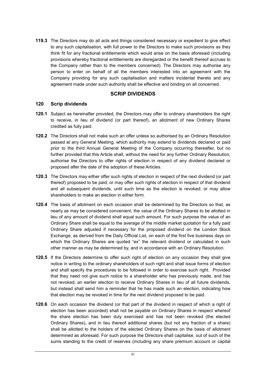**119.3** The Directors may do all acts and things considered necessary or expedient to give effect to any such capitalisation, with full power to the Directors to make such provisions as they think fit for any fractional entitlements which would arise on the basis aforesaid (including provisions whereby fractional entitlements are disregarded or the benefit thereof accrues to the Company rather than to the members concerned). The Directors may authorise any person to enter on behalf of all the members interested into an agreement with the Company providing for any such capitalisation and matters incidental thereto and any agreement made under such authority shall be effective and binding on all concerned.

#### **SCRIP DIVIDENDS**

#### **120 Scrip dividends**

- **120.1** Subject as hereinafter provided, the Directors may offer to ordinary shareholders the right to receive, in lieu of dividend (or part thereof), an allotment of new Ordinary Shares credited as fully paid.
- **120.2** The Directors shall not make such an offer unless so authorised by an Ordinary Resolution passed at any General Meeting, which authority may extend to dividends declared or paid prior to the third Annual General Meeting of the Company occurring thereafter, but no further provided that this Article shall, without the need for any further Ordinary Resolution, authorise the Directors to offer rights of election in respect of any dividend declared or proposed after the date of the adoption of these Articles.
- **120.3** The Directors may either offer such rights of election in respect of the next dividend (or part thereof) proposed to be paid; or may offer such rights of election in respect of that dividend and all subsequent dividends, until such time as the election is revoked; or may allow shareholders to make an election in either form.
- **120.4** The basis of allotment on each occasion shall be determined by the Directors so that, as nearly as may be considered convenient, the value of the Ordinary Shares to be allotted in lieu of any amount of dividend shall equal such amount. For such purpose the value of an Ordinary Share shall be equal to the average of the middle market quotation for a fully paid Ordinary Share adjusted if necessary for the proposed dividend on the London Stock Exchange, as derived from the Daily Official List, on each of the first five business days on which the Ordinary Shares are quoted "ex" the relevant dividend or calculated in such other manner as may be determined by, and in accordance with an Ordinary Resolution.
- **120.5** If the Directors determine to offer such right of election on any occasion they shall give notice in writing to the ordinary shareholders of such right and shall issue forms of election and shall specify the procedures to be followed in order to exercise such right. Provided that they need not give such notice to a shareholder who has previously made, and has not revoked, an earlier election to receive Ordinary Shares in lieu of all future dividends, but instead shall send him a reminder that he has made such an election, indicating how that election may be revoked in time for the next dividend proposed to be paid.
- **120.6** On each occasion the dividend (or that part of the dividend in respect of which a right of election has been accorded) shall not be payable on Ordinary Shares in respect whereof the share election has been duly exercised and has not been revoked (the elected Ordinary Shares), and in lieu thereof additional shares (but not any fraction of a share) shall be allotted to the holders of the elected Ordinary Shares on the basis of allotment determined as aforesaid. For such purpose the Directors shall capitalise, out of such of the sums standing to the credit of reserves (including any share premium account or capital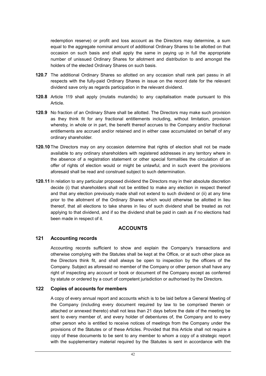redemption reserve) or profit and loss account as the Directors may determine, a sum equal to the aggregate nominal amount of additional Ordinary Shares to be allotted on that occasion on such basis and shall apply the same in paying up in full the appropriate number of unissued Ordinary Shares for allotment and distribution to and amongst the holders of the elected Ordinary Shares on such basis.

- **120.7** The additional Ordinary Shares so allotted on any occasion shall rank pari passu in all respects with the fully-paid Ordinary Shares in issue on the record date for the relevant dividend save only as regards participation in the relevant dividend.
- **120.8** Article 119 shall apply (mutatis mutandis) to any capitalisation made pursuant to this Article.
- **120.9** No fraction of an Ordinary Share shall be allotted. The Directors may make such provision as they think fit for any fractional entitlements including, without limitation, provision whereby, in whole or in part, the benefit thereof accrues to the Company and/or fractional entitlements are accrued and/or retained and in either case accumulated on behalf of any ordinary shareholder.
- **120.10** The Directors may on any occasion determine that rights of election shall not be made available to any ordinary shareholders with registered addresses in any territory where in the absence of a registration statement or other special formalities the circulation of an offer of rights of election would or might be unlawful, and in such event the provisions aforesaid shall be read and construed subject to such determination.
- **120.11** In relation to any particular proposed dividend the Directors may in their absolute discretion decide (i) that shareholders shall not be entitled to make any election in respect thereof and that any election previously made shall not extend to such dividend or (ii) at any time prior to the allotment of the Ordinary Shares which would otherwise be allotted in lieu thereof, that all elections to take shares in lieu of such dividend shall be treated as not applying to that dividend, and if so the dividend shall be paid in cash as if no elections had been made in respect of it.

## **ACCOUNTS**

## **121 Accounting records**

Accounting records sufficient to show and explain the Company's transactions and otherwise complying with the Statutes shall be kept at the Office, or at such other place as the Directors think fit, and shall always be open to inspection by the officers of the Company. Subject as aforesaid no member of the Company or other person shall have any right of inspecting any account or book or document of the Company except as conferred by statute or ordered by a court of competent jurisdiction or authorised by the Directors.

## **122 Copies of accounts for members**

A copy of every annual report and accounts which is to be laid before a General Meeting of the Company (including every document required by law to be comprised therein or attached or annexed thereto) shall not less than 21 days before the date of the meeting be sent to every member of, and every holder of debentures of, the Company and to every other person who is entitled to receive notices of meetings from the Company under the provisions of the Statutes or of these Articles. Provided that this Article shall not require a copy of these documents to be sent to any member to whom a copy of a strategic report with the supplementary material required by the Statutes is sent in accordance with the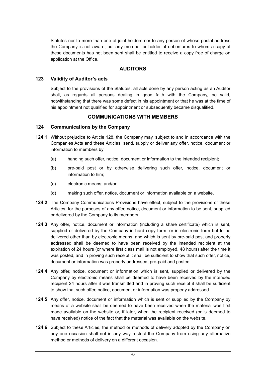Statutes nor to more than one of joint holders nor to any person of whose postal address the Company is not aware, but any member or holder of debentures to whom a copy of these documents has not been sent shall be entitled to receive a copy free of charge on application at the Office.

## **AUDITORS**

#### **123 Validity of Auditor's acts**

Subject to the provisions of the Statutes, all acts done by any person acting as an Auditor shall, as regards all persons dealing in good faith with the Company, be valid, notwithstanding that there was some defect in his appointment or that he was at the time of his appointment not qualified for appointment or subsequently became disqualified.

# **COMMUNICATIONS WITH MEMBERS**

#### **124 Communications by the Company**

- **124.1** Without prejudice to Article 128, the Company may, subject to and in accordance with the Companies Acts and these Articles, send, supply or deliver any offer, notice, document or information to members by:
	- (a) handing such offer, notice, document or information to the intended recipient;
	- (b) pre-paid post or by otherwise delivering such offer, notice, document or information to him;
	- (c) electronic means; and/or
	- (d) making such offer, notice, document or information available on a website.
- **124.2** The Company Communications Provisions have effect, subject to the provisions of these Articles, for the purposes of any offer, notice, document or information to be sent, supplied or delivered by the Company to its members.
- **124.3** Any offer, notice, document or information (including a share certificate) which is sent, supplied or delivered by the Company in hard copy form, or in electronic form but to be delivered other than by electronic means, and which is sent by pre-paid post and properly addressed shall be deemed to have been received by the intended recipient at the expiration of 24 hours (or where first class mail is not employed, 48 hours) after the time it was posted, and in proving such receipt it shall be sufficient to show that such offer, notice, document or information was properly addressed, pre-paid and posted.
- **124.4** Any offer, notice, document or information which is sent, supplied or delivered by the Company by electronic means shall be deemed to have been received by the intended recipient 24 hours after it was transmitted and in proving such receipt it shall be sufficient to show that such offer, notice, document or information was properly addressed.
- **124.5** Any offer, notice, document or information which is sent or supplied by the Company by means of a website shall be deemed to have been received when the material was first made available on the website or, if later, when the recipient received (or is deemed to have received) notice of the fact that the material was available on the website.
- **124.6** Subject to these Articles, the method or methods of delivery adopted by the Company on any one occasion shall not in any way restrict the Company from using any alternative method or methods of delivery on a different occasion.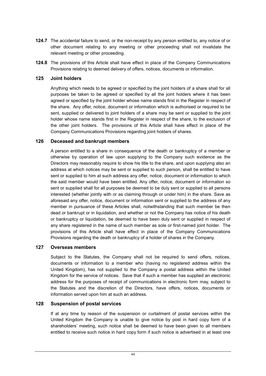- **124.7** The accidental failure to send, or the non-receipt by any person entitled to, any notice of or other document relating to any meeting or other proceeding shall not invalidate the relevant meeting or other proceeding.
- **124.8** The provisions of this Article shall have effect in place of the Company Communications Provisions relating to deemed delivery of offers, notices, documents or information.

#### **125 Joint holders**

Anything which needs to be agreed or specified by the joint holders of a share shall for all purposes be taken to be agreed or specified by all the joint holders where it has been agreed or specified by the joint holder whose name stands first in the Register in respect of the share. Any offer, notice, document or information which is authorised or required to be sent, supplied or delivered to joint holders of a share may be sent or supplied to the joint holder whose name stands first in the Register in respect of the share, to the exclusion of the other joint holders. The provisions of this Article shall have effect in place of the Company Communications Provisions regarding joint holders of shares.

#### **126 Deceased and bankrupt members**

A person entitled to a share in consequence of the death or bankruptcy of a member or otherwise by operation of law upon supplying to the Company such evidence as the Directors may reasonably require to show his title to the share, and upon supplying also an address at which notices may be sent or supplied to such person, shall be entitled to have sent or supplied to him at such address any offer, notice, document or information to which the said member would have been entitled. Any offer, notice, document or information so sent or supplied shall for all purposes be deemed to be duly sent or supplied to all persons interested (whether jointly with or as claiming through or under him) in the share. Save as aforesaid any offer, notice, document or information sent or supplied to the address of any member in pursuance of these Articles shall, notwithstanding that such member be then dead or bankrupt or in liquidation, and whether or not the Company has notice of his death or bankruptcy or liquidation, be deemed to have been duly sent or supplied in respect of any share registered in the name of such member as sole or first-named joint holder. The provisions of this Article shall have effect in place of the Company Communications Provisions regarding the death or bankruptcy of a holder of shares in the Company.

#### **127 Overseas members**

Subject to the Statutes, the Company shall not be required to send offers, notices, documents or information to a member who (having no registered address within the United Kingdom), has not supplied to the Company a postal address within the United Kingdom for the service of notices. Save that if such a member has supplied an electronic address for the purposes of receipt of communications in electronic form may, subject to the Statutes and the discretion of the Directors, have offers, notices, documents or information served upon him at such an address.

#### **128 Suspension of postal services**

If at any time by reason of the suspension or curtailment of postal services within the United Kingdom the Company is unable to give notice by post in hard copy form of a shareholders' meeting, such notice shall be deemed to have been given to all members entitled to receive such notice in hard copy form if such notice is advertised in at least one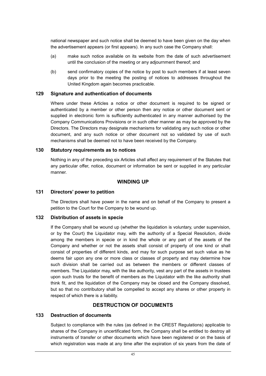national newspaper and such notice shall be deemed to have been given on the day when the advertisement appears (or first appears). In any such case the Company shall:

- (a) make such notice available on its website from the date of such advertisement until the conclusion of the meeting or any adjournment thereof; and
- (b) send confirmatory copies of the notice by post to such members if at least seven days prior to the meeting the posting of notices to addresses throughout the United Kingdom again becomes practicable.

#### **129 Signature and authentication of documents**

Where under these Articles a notice or other document is required to be signed or authenticated by a member or other person then any notice or other document sent or supplied in electronic form is sufficiently authenticated in any manner authorised by the Company Communications Provisions or in such other manner as may be approved by the Directors. The Directors may designate mechanisms for validating any such notice or other document, and any such notice or other document not so validated by use of such mechanisms shall be deemed not to have been received by the Company.

#### **130 Statutory requirements as to notices**

Nothing in any of the preceding six Articles shall affect any requirement of the Statutes that any particular offer, notice, document or information be sent or supplied in any particular manner.

#### **WINDING UP**

#### **131 Directors' power to petition**

The Directors shall have power in the name and on behalf of the Company to present a petition to the Court for the Company to be wound up.

#### **132 Distribution of assets in specie**

If the Company shall be wound up (whether the liquidation is voluntary, under supervision, or by the Court) the Liquidator may, with the authority of a Special Resolution, divide among the members in specie or in kind the whole or any part of the assets of the Company and whether or not the assets shall consist of property of one kind or shall consist of properties of different kinds, and may for such purpose set such value as he deems fair upon any one or more class or classes of property and may determine how such division shall be carried out as between the members or different classes of members. The Liquidator may, with the like authority, vest any part of the assets in trustees upon such trusts for the benefit of members as the Liquidator with the like authority shall think fit, and the liquidation of the Company may be closed and the Company dissolved, but so that no contributory shall be compelled to accept any shares or other property in respect of which there is a liability.

#### **DESTRUCTION OF DOCUMENTS**

#### **133 Destruction of documents**

Subject to compliance with the rules (as defined in the CREST Regulations) applicable to shares of the Company in uncertificated form, the Company shall be entitled to destroy all instruments of transfer or other documents which have been registered or on the basis of which registration was made at any time after the expiration of six years from the date of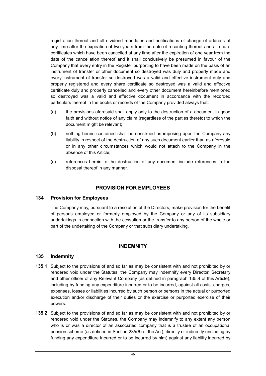registration thereof and all dividend mandates and notifications of change of address at any time after the expiration of two years from the date of recording thereof and all share certificates which have been cancelled at any time after the expiration of one year from the date of the cancellation thereof and it shall conclusively be presumed in favour of the Company that every entry in the Register purporting to have been made on the basis of an instrument of transfer or other document so destroyed was duly and properly made and every instrument of transfer so destroyed was a valid and effective instrument duly and properly registered and every share certificate so destroyed was a valid and effective certificate duly and properly cancelled and every other document hereinbefore mentioned so destroyed was a valid and effective document in accordance with the recorded particulars thereof in the books or records of the Company provided always that:

- (a) the provisions aforesaid shall apply only to the destruction of a document in good faith and without notice of any claim (regardless of the parties thereto) to which the document might be relevant;
- (b) nothing herein contained shall be construed as imposing upon the Company any liability in respect of the destruction of any such document earlier than as aforesaid or in any other circumstances which would not attach to the Company in the absence of this Article;
- (c) references herein to the destruction of any document include references to the disposal thereof in any manner.

# **PROVISION FOR EMPLOYEES**

## **134 Provision for Employees**

The Company may, pursuant to a resolution of the Directors, make provision for the benefit of persons employed or formerly employed by the Company or any of its subsidiary undertakings in connection with the cessation or the transfer to any person of the whole or part of the undertaking of the Company or that subsidiary undertaking.

## **INDEMNITY**

## **135 Indemnity**

- **135.1** Subject to the provisions of and so far as may be consistent with and not prohibited by or rendered void under the Statutes, the Company may indemnify every Director, Secretary and other officer of any Relevant Company (as defined in paragraph 135.4 of this Article), including by funding any expenditure incurred or to be incurred, against all costs, charges, expenses, losses or liabilities incurred by such person or persons in the actual or purported execution and/or discharge of their duties or the exercise or purported exercise of their powers.
- **135.2** Subject to the provisions of and so far as may be consistent with and not prohibited by or rendered void under the Statutes, the Company may indemnify to any extent any person who is or was a director of an associated company that is a trustee of an occupational pension scheme (as defined in Section 235(6) of the Act), directly or indirectly (including by funding any expenditure incurred or to be incurred by him) against any liability incurred by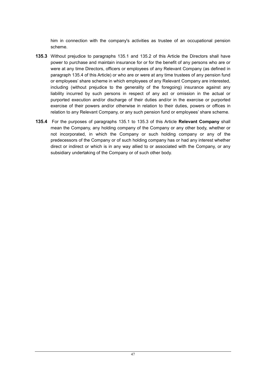him in connection with the company's activities as trustee of an occupational pension scheme.

- **135.3** Without prejudice to paragraphs 135.1 and 135.2 of this Article the Directors shall have power to purchase and maintain insurance for or for the benefit of any persons who are or were at any time Directors, officers or employees of any Relevant Company (as defined in paragraph 135.4 of this Article) or who are or were at any time trustees of any pension fund or employees' share scheme in which employees of any Relevant Company are interested, including (without prejudice to the generality of the foregoing) insurance against any liability incurred by such persons in respect of any act or omission in the actual or purported execution and/or discharge of their duties and/or in the exercise or purported exercise of their powers and/or otherwise in relation to their duties, powers or offices in relation to any Relevant Company, or any such pension fund or employees' share scheme.
- **135.4** For the purposes of paragraphs 135.1 to 135.3 of this Article **Relevant Company** shall mean the Company, any holding company of the Company or any other body, whether or not incorporated, in which the Company or such holding company or any of the predecessors of the Company or of such holding company has or had any interest whether direct or indirect or which is in any way allied to or associated with the Company, or any subsidiary undertaking of the Company or of such other body.